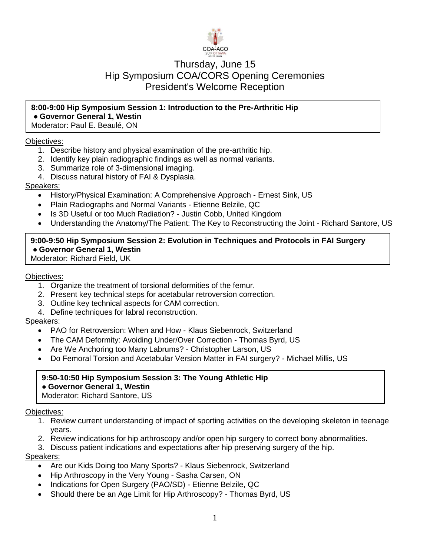

# Thursday, June 15 Hip Symposium COA/CORS Opening Ceremonies President's Welcome Reception

## **8:00-9:00 Hip Symposium Session 1: Introduction to the Pre-Arthritic Hip ● Governor General 1, Westin**

Moderator: Paul E. Beaulé, ON

### Objectives:

- 1. Describe history and physical examination of the pre-arthritic hip.
- 2. Identify key plain radiographic findings as well as normal variants.
- 3. Summarize role of 3-dimensional imaging.
- 4. Discuss natural history of FAI & Dysplasia.

### Speakers:

- History/Physical Examination: A Comprehensive Approach Ernest Sink, US
- Plain Radiographs and Normal Variants Etienne Belzile, QC
- Is 3D Useful or too Much Radiation? Justin Cobb, United Kingdom
- Understanding the Anatomy/The Patient: The Key to Reconstructing the Joint Richard Santore, US

## **9:00-9:50 Hip Symposium Session 2: Evolution in Techniques and Protocols in FAI Surgery ● Governor General 1, Westin**

Moderator: Richard Field, UK

#### Objectives:

- 1. Organize the treatment of torsional deformities of the femur.
- 2. Present key technical steps for acetabular retroversion correction.
- 3. Outline key technical aspects for CAM correction.
- 4. Define techniques for labral reconstruction.

## Speakers:

- PAO for Retroversion: When and How Klaus Siebenrock, Switzerland
- The CAM Deformity: Avoiding Under/Over Correction Thomas Byrd, US
- Are We Anchoring too Many Labrums? Christopher Larson, US
- Do Femoral Torsion and Acetabular Version Matter in FAI surgery? Michael Millis, US

# **9:50-10:50 Hip Symposium Session 3: The Young Athletic Hip**

# **● Governor General 1, Westin**

Moderator: Richard Santore, US

#### Objectives:

- 1. Review current understanding of impact of sporting activities on the developing skeleton in teenage years.
- 2. Review indications for hip arthroscopy and/or open hip surgery to correct bony abnormalities.
- 3. Discuss patient indications and expectations after hip preserving surgery of the hip.

- Are our Kids Doing too Many Sports? Klaus Siebenrock, Switzerland
- Hip Arthroscopy in the Very Young Sasha Carsen, ON
- Indications for Open Surgery (PAO/SD) Etienne Belzile, QC
- Should there be an Age Limit for Hip Arthroscopy? Thomas Byrd, US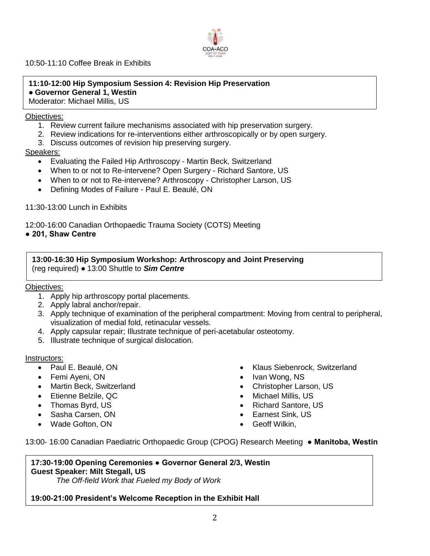

10:50-11:10 Coffee Break in Exhibits

## **11:10-12:00 Hip Symposium Session 4: Revision Hip Preservation ● Governor General 1, Westin**

Moderator: Michael Millis, US

#### Objectives:

- 1. Review current failure mechanisms associated with hip preservation surgery.
- 2. Review indications for re-interventions either arthroscopically or by open surgery.
- 3. Discuss outcomes of revision hip preserving surgery.

### Speakers:

- Evaluating the Failed Hip Arthroscopy Martin Beck, Switzerland
- When to or not to Re-intervene? Open Surgery Richard Santore, US
- When to or not to Re-intervene? Arthroscopy Christopher Larson, US
- Defining Modes of Failure Paul E. Beaulé, ON

### 11:30-13:00 Lunch in Exhibits

12:00-16:00 Canadian Orthopaedic Trauma Society (COTS) Meeting

**● 201, Shaw Centre**

**13:00-16:30 Hip Symposium Workshop: Arthroscopy and Joint Preserving** (reg required) **●** 13:00 Shuttle to *Sim Centre*

#### Objectives:

- 1. Apply hip arthroscopy portal placements.
- 2. Apply labral anchor/repair.
- 3. Apply technique of examination of the peripheral compartment: Moving from central to peripheral, visualization of medial fold, retinacular vessels.
- 4. Apply capsular repair; Illustrate technique of peri-acetabular osteotomy.
- 5. Illustrate technique of surgical dislocation.

#### Instructors:

- Paul E. Beaulé, ON
- Femi Ayeni, ON
- Martin Beck, Switzerland
- Etienne Belzile, QC
- Thomas Byrd, US
- Sasha Carsen, ON
- Wade Gofton, ON
- Klaus Siebenrock, Switzerland
- Ivan Wong, NS
- Christopher Larson, US
- Michael Millis, US
- Richard Santore, US
- Earnest Sink, US
- Geoff Wilkin,

13:00- 16:00 Canadian Paediatric Orthopaedic Group (CPOG) Research Meeting **● Manitoba, Westin**

### **17:30-19:00 Opening Ceremonies ● Governor General 2/3, Westin Guest Speaker: Milt Stegall, US**

*The Off-field Work that Fueled my Body of Work*

## **19:00-21:00 President's Welcome Reception in the Exhibit Hall**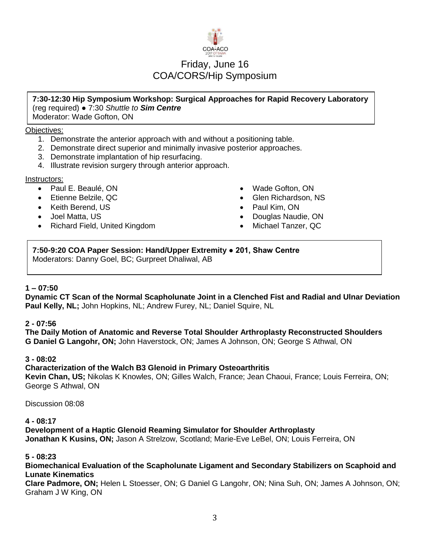

# Friday, June 16 COA/CORS/Hip Symposium

#### **7:30-12:30 Hip Symposium Workshop: Surgical Approaches for Rapid Recovery Laboratory** (reg required) **●** 7:30 *Shuttle to Sim Centre* Moderator: Wade Gofton, ON

### Objectives:

- 1. Demonstrate the anterior approach with and without a positioning table.
- 2. Demonstrate direct superior and minimally invasive posterior approaches.
- 3. Demonstrate implantation of hip resurfacing.
- 4. Illustrate revision surgery through anterior approach.

## Instructors:

- Paul E. Beaulé, ON
- Etienne Belzile, QC
- Keith Berend, US
- Joel Matta, US
- Richard Field, United Kingdom
- Wade Gofton, ON
- Glen Richardson, NS
- Paul Kim, ON
- Douglas Naudie, ON
- Michael Tanzer, QC

#### **7:50-9:20 COA Paper Session: Hand/Upper Extremity ● 201, Shaw Centre** Moderators: Danny Goel, BC; Gurpreet Dhaliwal, AB

## **1 – 07:50**

**Dynamic CT Scan of the Normal Scapholunate Joint in a Clenched Fist and Radial and Ulnar Deviation Paul Kelly, NL;** John Hopkins, NL; Andrew Furey, NL; Daniel Squire, NL

## **2 - 07:56**

**The Daily Motion of Anatomic and Reverse Total Shoulder Arthroplasty Reconstructed Shoulders G Daniel G Langohr, ON;** John Haverstock, ON; James A Johnson, ON; George S Athwal, ON

## **3 - 08:02**

**Characterization of the Walch B3 Glenoid in Primary Osteoarthritis**

**Kevin Chan, US;** Nikolas K Knowles, ON; Gilles Walch, France; Jean Chaoui, France; Louis Ferreira, ON; George S Athwal, ON

Discussion 08:08

## **4 - 08:17**

**Development of a Haptic Glenoid Reaming Simulator for Shoulder Arthroplasty Jonathan K Kusins, ON;** Jason A Strelzow, Scotland; Marie-Eve LeBel, ON; Louis Ferreira, ON

## **5 - 08:23**

**Biomechanical Evaluation of the Scapholunate Ligament and Secondary Stabilizers on Scaphoid and Lunate Kinematics**

**Clare Padmore, ON;** Helen L Stoesser, ON; G Daniel G Langohr, ON; Nina Suh, ON; James A Johnson, ON; Graham J W King, ON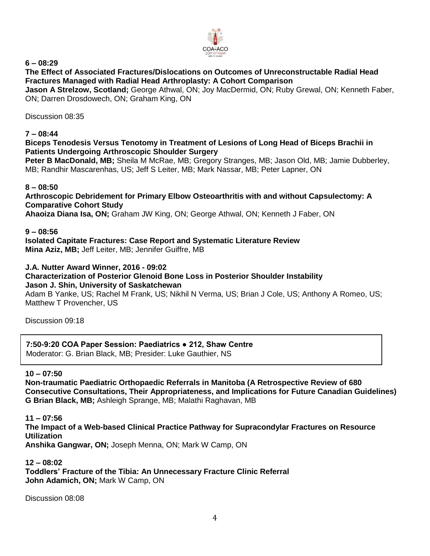

**6 – 08:29**

**The Effect of Associated Fractures/Dislocations on Outcomes of Unreconstructable Radial Head Fractures Managed with Radial Head Arthroplasty: A Cohort Comparison**

**Jason A Strelzow, Scotland;** George Athwal, ON; Joy MacDermid, ON; Ruby Grewal, ON; Kenneth Faber, ON; Darren Drosdowech, ON; Graham King, ON

Discussion 08:35

### **7 – 08:44**

### **Biceps Tenodesis Versus Tenotomy in Treatment of Lesions of Long Head of Biceps Brachii in Patients Undergoing Arthroscopic Shoulder Surgery**

**Peter B MacDonald, MB;** Sheila M McRae, MB; Gregory Stranges, MB; Jason Old, MB; Jamie Dubberley, MB; Randhir Mascarenhas, US; Jeff S Leiter, MB; Mark Nassar, MB; Peter Lapner, ON

### **8 – 08:50**

**Arthroscopic Debridement for Primary Elbow Osteoarthritis with and without Capsulectomy: A Comparative Cohort Study**

**Ahaoiza Diana Isa, ON;** Graham JW King, ON; George Athwal, ON; Kenneth J Faber, ON

### **9 – 08:56**

**Isolated Capitate Fractures: Case Report and Systematic Literature Review Mina Aziz, MB;** Jeff Leiter, MB; Jennifer Guiffre, MB

## **J.A. Nutter Award Winner, 2016 - 09:02**

**Characterization of Posterior Glenoid Bone Loss in Posterior Shoulder Instability Jason J. Shin, University of Saskatchewan**

Adam B Yanke, US; Rachel M Frank, US; Nikhil N Verma, US; Brian J Cole, US; Anthony A Romeo, US; Matthew T Provencher, US

Discussion 09:18

## **7:50-9:20 COA Paper Session: Paediatrics ● 212, Shaw Centre**

Moderator: G. Brian Black, MB; Presider: Luke Gauthier, NS

#### **10 – 07:50**

**Non-traumatic Paediatric Orthopaedic Referrals in Manitoba (A Retrospective Review of 680 Consecutive Consultations, Their Appropriateness, and Implications for Future Canadian Guidelines) G Brian Black, MB;** Ashleigh Sprange, MB; Malathi Raghavan, MB

## **11 – 07:56**

**The Impact of a Web-based Clinical Practice Pathway for Supracondylar Fractures on Resource Utilization Anshika Gangwar, ON;** Joseph Menna, ON; Mark W Camp, ON

#### **12 – 08:02 Toddlers' Fracture of the Tibia: An Unnecessary Fracture Clinic Referral John Adamich, ON;** Mark W Camp, ON

Discussion 08:08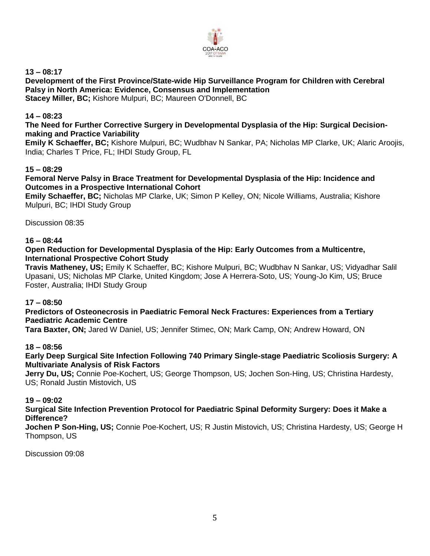

**13 – 08:17**

**Development of the First Province/State-wide Hip Surveillance Program for Children with Cerebral Palsy in North America: Evidence, Consensus and Implementation Stacey Miller, BC;** Kishore Mulpuri, BC; Maureen O'Donnell, BC

## **14 – 08:23**

**The Need for Further Corrective Surgery in Developmental Dysplasia of the Hip: Surgical Decisionmaking and Practice Variability**

**Emily K Schaeffer, BC;** Kishore Mulpuri, BC; Wudbhav N Sankar, PA; Nicholas MP Clarke, UK; Alaric Aroojis, India; Charles T Price, FL; IHDI Study Group, FL

#### **15 – 08:29**

**Femoral Nerve Palsy in Brace Treatment for Developmental Dysplasia of the Hip: Incidence and Outcomes in a Prospective International Cohort**

**Emily Schaeffer, BC;** Nicholas MP Clarke, UK; Simon P Kelley, ON; Nicole Williams, Australia; Kishore Mulpuri, BC; IHDI Study Group

Discussion 08:35

#### **16 – 08:44**

### **Open Reduction for Developmental Dysplasia of the Hip: Early Outcomes from a Multicentre, International Prospective Cohort Study**

**Travis Matheney, US;** Emily K Schaeffer, BC; Kishore Mulpuri, BC; Wudbhav N Sankar, US; Vidyadhar Salil Upasani, US; Nicholas MP Clarke, United Kingdom; Jose A Herrera-Soto, US; Young-Jo Kim, US; Bruce Foster, Australia; IHDI Study Group

#### **17 – 08:50**

### **Predictors of Osteonecrosis in Paediatric Femoral Neck Fractures: Experiences from a Tertiary Paediatric Academic Centre**

**Tara Baxter, ON;** Jared W Daniel, US; Jennifer Stimec, ON; Mark Camp, ON; Andrew Howard, ON

#### **18 – 08:56**

**Early Deep Surgical Site Infection Following 740 Primary Single-stage Paediatric Scoliosis Surgery: A Multivariate Analysis of Risk Factors**

**Jerry Du, US;** Connie Poe-Kochert, US; George Thompson, US; Jochen Son-Hing, US; Christina Hardesty, US; Ronald Justin Mistovich, US

#### **19 – 09:02**

**Surgical Site Infection Prevention Protocol for Paediatric Spinal Deformity Surgery: Does it Make a Difference?**

**Jochen P Son-Hing, US;** Connie Poe-Kochert, US; R Justin Mistovich, US; Christina Hardesty, US; George H Thompson, US

Discussion 09:08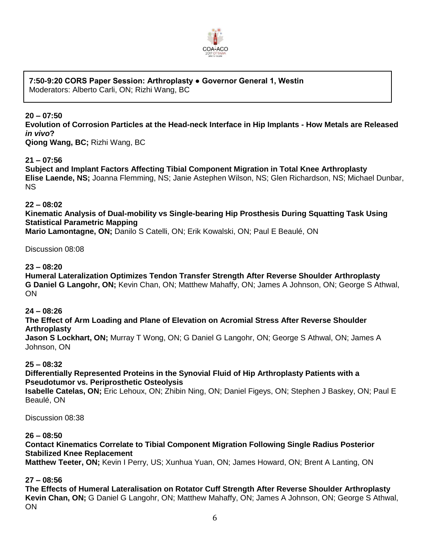

#### **7:50-9:20 CORS Paper Session: Arthroplasty ● Governor General 1, Westin** Moderators: Alberto Carli, ON; Rizhi Wang, BC

**20 – 07:50**

**Evolution of Corrosion Particles at the Head-neck Interface in Hip Implants - How Metals are Released**  *in vivo***?**

**Qiong Wang, BC;** Rizhi Wang, BC

**21 – 07:56**

**Subject and Implant Factors Affecting Tibial Component Migration in Total Knee Arthroplasty Elise Laende, NS;** Joanna Flemming, NS; Janie Astephen Wilson, NS; Glen Richardson, NS; Michael Dunbar, NS

**22 – 08:02**

**Kinematic Analysis of Dual-mobility vs Single-bearing Hip Prosthesis During Squatting Task Using Statistical Parametric Mapping**

**Mario Lamontagne, ON;** Danilo S Catelli, ON; Erik Kowalski, ON; Paul E Beaulé, ON

Discussion 08:08

## **23 – 08:20**

**Humeral Lateralization Optimizes Tendon Transfer Strength After Reverse Shoulder Arthroplasty G Daniel G Langohr, ON;** Kevin Chan, ON; Matthew Mahaffy, ON; James A Johnson, ON; George S Athwal, **ON** 

#### **24 – 08:26**

**The Effect of Arm Loading and Plane of Elevation on Acromial Stress After Reverse Shoulder Arthroplasty**

**Jason S Lockhart, ON;** Murray T Wong, ON; G Daniel G Langohr, ON; George S Athwal, ON; James A Johnson, ON

## **25 – 08:32**

**Differentially Represented Proteins in the Synovial Fluid of Hip Arthroplasty Patients with a Pseudotumor vs. Periprosthetic Osteolysis**

**Isabelle Catelas, ON;** Eric Lehoux, ON; Zhibin Ning, ON; Daniel Figeys, ON; Stephen J Baskey, ON; Paul E Beaulé, ON

Discussion 08:38

#### **26 – 08:50**

**Contact Kinematics Correlate to Tibial Component Migration Following Single Radius Posterior Stabilized Knee Replacement**

**Matthew Teeter, ON;** Kevin I Perry, US; Xunhua Yuan, ON; James Howard, ON; Brent A Lanting, ON

**27 – 08:56**

**The Effects of Humeral Lateralisation on Rotator Cuff Strength After Reverse Shoulder Arthroplasty Kevin Chan, ON;** G Daniel G Langohr, ON; Matthew Mahaffy, ON; James A Johnson, ON; George S Athwal, ON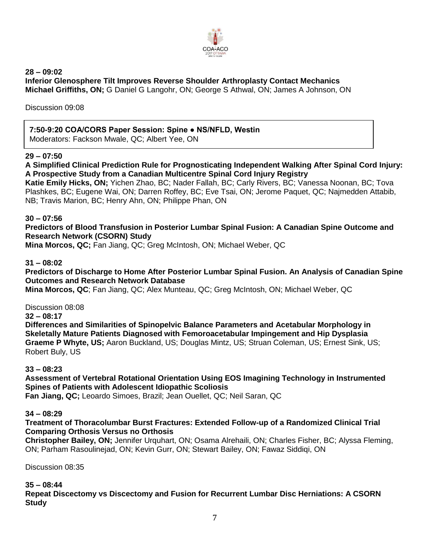

**28 – 09:02 Inferior Glenosphere Tilt Improves Reverse Shoulder Arthroplasty Contact Mechanics Michael Griffiths, ON;** G Daniel G Langohr, ON; George S Athwal, ON; James A Johnson, ON

Discussion 09:08

# **7:50-9:20 COA/CORS Paper Session: Spine ● NS/NFLD, Westin**

Moderators: Fackson Mwale, QC; Albert Yee, ON

## **29 – 07:50**

**A Simplified Clinical Prediction Rule for Prognosticating Independent Walking After Spinal Cord Injury: A Prospective Study from a Canadian Multicentre Spinal Cord Injury Registry Katie Emily Hicks, ON;** Yichen Zhao, BC; Nader Fallah, BC; Carly Rivers, BC; Vanessa Noonan, BC; Tova

Plashkes, BC; Eugene Wai, ON; Darren Roffey, BC; Eve Tsai, ON; Jerome Paquet, QC; Najmedden Attabib, NB; Travis Marion, BC; Henry Ahn, ON; Philippe Phan, ON

### **30 – 07:56**

**Predictors of Blood Transfusion in Posterior Lumbar Spinal Fusion: A Canadian Spine Outcome and Research Network (CSORN) Study**

**Mina Morcos, QC;** Fan Jiang, QC; Greg McIntosh, ON; Michael Weber, QC

### **31 – 08:02**

**Predictors of Discharge to Home After Posterior Lumbar Spinal Fusion. An Analysis of Canadian Spine Outcomes and Research Network Database**

**Mina Morcos, QC**; Fan Jiang, QC; Alex Munteau, QC; Greg McIntosh, ON; Michael Weber, QC

Discussion 08:08

**32 – 08:17**

**Differences and Similarities of Spinopelvic Balance Parameters and Acetabular Morphology in Skeletally Mature Patients Diagnosed with Femoroacetabular Impingement and Hip Dysplasia Graeme P Whyte, US;** Aaron Buckland, US; Douglas Mintz, US; Struan Coleman, US; Ernest Sink, US; Robert Buly, US

#### **33 – 08:23**

**Assessment of Vertebral Rotational Orientation Using EOS Imagining Technology in Instrumented Spines of Patients with Adolescent Idiopathic Scoliosis**

**Fan Jiang, QC;** Leoardo Simoes, Brazil; Jean Ouellet, QC; Neil Saran, QC

#### **34 – 08:29**

**Treatment of Thoracolumbar Burst Fractures: Extended Follow-up of a Randomized Clinical Trial Comparing Orthosis Versus no Orthosis**

**Christopher Bailey, ON;** Jennifer Urquhart, ON; Osama Alrehaili, ON; Charles Fisher, BC; Alyssa Fleming, ON; Parham Rasoulinejad, ON; Kevin Gurr, ON; Stewart Bailey, ON; Fawaz Siddiqi, ON

Discussion 08:35

#### **35 – 08:44**

**Repeat Discectomy vs Discectomy and Fusion for Recurrent Lumbar Disc Herniations: A CSORN Study**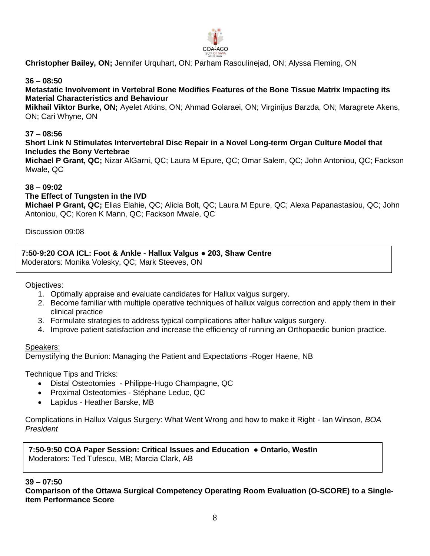

**Christopher Bailey, ON;** Jennifer Urquhart, ON; Parham Rasoulinejad, ON; Alyssa Fleming, ON

### **36 – 08:50**

## **Metastatic Involvement in Vertebral Bone Modifies Features of the Bone Tissue Matrix Impacting its Material Characteristics and Behaviour**

**Mikhail Viktor Burke, ON;** Ayelet Atkins, ON; Ahmad Golaraei, ON; Virginijus Barzda, ON; Maragrete Akens, ON; Cari Whyne, ON

#### **37 – 08:56**

**Short Link N Stimulates Intervertebral Disc Repair in a Novel Long-term Organ Culture Model that Includes the Bony Vertebrae**

**Michael P Grant, QC;** Nizar AlGarni, QC; Laura M Epure, QC; Omar Salem, QC; John Antoniou, QC; Fackson Mwale, QC

#### **38 – 09:02**

#### **The Effect of Tungsten in the IVD**

**Michael P Grant, QC;** Elias Elahie, QC; Alicia Bolt, QC; Laura M Epure, QC; Alexa Papanastasiou, QC; John Antoniou, QC; Koren K Mann, QC; Fackson Mwale, QC

Discussion 09:08

**7:50-9:20 COA ICL: Foot & Ankle - Hallux Valgus ● 203, Shaw Centre**  Moderators: Monika Volesky, QC; Mark Steeves, ON

Objectives:

- 1. Optimally appraise and evaluate candidates for Hallux valgus surgery.
- 2. Become familiar with multiple operative techniques of hallux valgus correction and apply them in their clinical practice
- 3. Formulate strategies to address typical complications after hallux valgus surgery.
- 4. Improve patient satisfaction and increase the efficiency of running an Orthopaedic bunion practice.

#### Speakers:

Demystifying the Bunion: Managing the Patient and Expectations -Roger Haene, NB

Technique Tips and Tricks:

- Distal Osteotomies Philippe-Hugo Champagne, QC
- Proximal Osteotomies Stéphane Leduc, QC
- Lapidus Heather Barske, MB

Complications in Hallux Valgus Surgery: What Went Wrong and how to make it Right - Ian Winson, *BOA President*

**7:50-9:50 COA Paper Session: Critical Issues and Education ● Ontario, Westin**  Moderators: Ted Tufescu, MB; Marcia Clark, AB

#### **39 – 07:50**

**Comparison of the Ottawa Surgical Competency Operating Room Evaluation (O-SCORE) to a Singleitem Performance Score**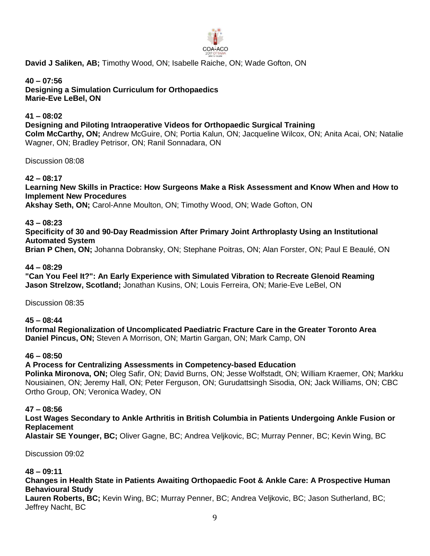

**David J Saliken, AB;** Timothy Wood, ON; Isabelle Raiche, ON; Wade Gofton, ON

**40 – 07:56 Designing a Simulation Curriculum for Orthopaedics Marie-Eve LeBel, ON** 

### **41 – 08:02**

**Designing and Piloting Intraoperative Videos for Orthopaedic Surgical Training Colm McCarthy, ON;** Andrew McGuire, ON; Portia Kalun, ON; Jacqueline Wilcox, ON; Anita Acai, ON; Natalie Wagner, ON; Bradley Petrisor, ON; Ranil Sonnadara, ON

Discussion 08:08

**42 – 08:17**

**Learning New Skills in Practice: How Surgeons Make a Risk Assessment and Know When and How to Implement New Procedures**

**Akshay Seth, ON;** Carol-Anne Moulton, ON; Timothy Wood, ON; Wade Gofton, ON

**43 – 08:23**

**Specificity of 30 and 90-Day Readmission After Primary Joint Arthroplasty Using an Institutional Automated System**

**Brian P Chen, ON;** Johanna Dobransky, ON; Stephane Poitras, ON; Alan Forster, ON; Paul E Beaulé, ON

#### **44 – 08:29**

**"Can You Feel It?": An Early Experience with Simulated Vibration to Recreate Glenoid Reaming Jason Strelzow, Scotland;** Jonathan Kusins, ON; Louis Ferreira, ON; Marie-Eve LeBel, ON

Discussion 08:35

**45 – 08:44**

**Informal Regionalization of Uncomplicated Paediatric Fracture Care in the Greater Toronto Area Daniel Pincus, ON;** Steven A Morrison, ON; Martin Gargan, ON; Mark Camp, ON

#### **46 – 08:50**

#### **A Process for Centralizing Assessments in Competency-based Education**

**Polinka Mironova, ON;** Oleg Safir, ON; David Burns, ON; Jesse Wolfstadt, ON; William Kraemer, ON; Markku Nousiainen, ON; Jeremy Hall, ON; Peter Ferguson, ON; Gurudattsingh Sisodia, ON; Jack Williams, ON; CBC Ortho Group, ON; Veronica Wadey, ON

#### **47 – 08:56**

**Lost Wages Secondary to Ankle Arthritis in British Columbia in Patients Undergoing Ankle Fusion or Replacement**

**Alastair SE Younger, BC;** Oliver Gagne, BC; Andrea Veljkovic, BC; Murray Penner, BC; Kevin Wing, BC

Discussion 09:02

#### **48 – 09:11**

**Changes in Health State in Patients Awaiting Orthopaedic Foot & Ankle Care: A Prospective Human Behavioural Study**

**Lauren Roberts, BC;** Kevin Wing, BC; Murray Penner, BC; Andrea Veljkovic, BC; Jason Sutherland, BC; Jeffrey Nacht, BC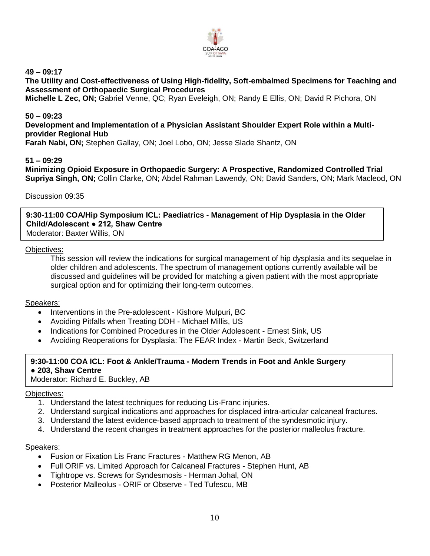

**49 – 09:17**

**The Utility and Cost-effectiveness of Using High-fidelity, Soft-embalmed Specimens for Teaching and Assessment of Orthopaedic Surgical Procedures**

**Michelle L Zec, ON;** Gabriel Venne, QC; Ryan Eveleigh, ON; Randy E Ellis, ON; David R Pichora, ON

### **50 – 09:23**

**Development and Implementation of a Physician Assistant Shoulder Expert Role within a Multiprovider Regional Hub**

**Farah Nabi, ON;** Stephen Gallay, ON; Joel Lobo, ON; Jesse Slade Shantz, ON

### **51 – 09:29**

**Minimizing Opioid Exposure in Orthopaedic Surgery: A Prospective, Randomized Controlled Trial Supriya Singh, ON;** Collin Clarke, ON; Abdel Rahman Lawendy, ON; David Sanders, ON; Mark Macleod, ON

#### Discussion 09:35

**9:30-11:00 COA/Hip Symposium ICL: Paediatrics - Management of Hip Dysplasia in the Older Child/Adolescent ● 212, Shaw Centre** 

Moderator: Baxter Willis, ON

#### Objectives:

This session will review the indications for surgical management of hip dysplasia and its sequelae in older children and adolescents. The spectrum of management options currently available will be discussed and guidelines will be provided for matching a given patient with the most appropriate surgical option and for optimizing their long-term outcomes.

#### Speakers:

- Interventions in the Pre-adolescent Kishore Mulpuri, BC
- Avoiding Pitfalls when Treating DDH Michael Millis, US
- Indications for Combined Procedures in the Older Adolescent Ernest Sink, US
- Avoiding Reoperations for Dysplasia: The FEAR Index Martin Beck, Switzerland

## **9:30-11:00 COA ICL: Foot & Ankle/Trauma - Modern Trends in Foot and Ankle Surgery ● 203, Shaw Centre**

Moderator: Richard E. Buckley, AB

#### Objectives:

- 1. Understand the latest techniques for reducing Lis-Franc injuries.
- 2. Understand surgical indications and approaches for displaced intra-articular calcaneal fractures.
- 3. Understand the latest evidence-based approach to treatment of the syndesmotic injury.
- 4. Understand the recent changes in treatment approaches for the posterior malleolus fracture.

- Fusion or Fixation Lis Franc Fractures Matthew RG Menon, AB
- Full ORIF vs. Limited Approach for Calcaneal Fractures Stephen Hunt, AB
- Tightrope vs. Screws for Syndesmosis Herman Johal, ON
- Posterior Malleolus ORIF or Observe Ted Tufescu, MB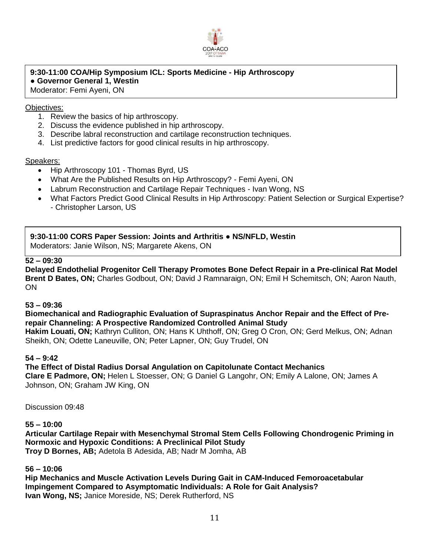

# **9:30-11:00 COA/Hip Symposium ICL: Sports Medicine - Hip Arthroscopy ● Governor General 1, Westin**

Moderator: Femi Ayeni, ON

### Objectives:

- 1. Review the basics of hip arthroscopy.
- 2. Discuss the evidence published in hip arthroscopy.
- 3. Describe labral reconstruction and cartilage reconstruction techniques.
- 4. List predictive factors for good clinical results in hip arthroscopy.

#### Speakers:

- Hip Arthroscopy 101 Thomas Byrd, US
- What Are the Published Results on Hip Arthroscopy? Femi Ayeni, ON
- Labrum Reconstruction and Cartilage Repair Techniques Ivan Wong, NS
- What Factors Predict Good Clinical Results in Hip Arthroscopy: Patient Selection or Surgical Expertise? - Christopher Larson, US

**9:30-11:00 CORS Paper Session: Joints and Arthritis ● NS/NFLD, Westin** Moderators: Janie Wilson, NS; Margarete Akens, ON

### **52 – 09:30**

**Delayed Endothelial Progenitor Cell Therapy Promotes Bone Defect Repair in a Pre-clinical Rat Model Brent D Bates, ON;** Charles Godbout, ON; David J Ramnaraign, ON; Emil H Schemitsch, ON; Aaron Nauth, ON

#### **53 – 09:36**

**Biomechanical and Radiographic Evaluation of Supraspinatus Anchor Repair and the Effect of Prerepair Channeling: A Prospective Randomized Controlled Animal Study**

**Hakim Louati, ON;** Kathryn Culliton, ON; Hans K Uhthoff, ON; Greg O Cron, ON; Gerd Melkus, ON; Adnan Sheikh, ON; Odette Laneuville, ON; Peter Lapner, ON; Guy Trudel, ON

#### **54 – 9:42**

**The Effect of Distal Radius Dorsal Angulation on Capitolunate Contact Mechanics Clare E Padmore, ON;** Helen L Stoesser, ON; G Daniel G Langohr, ON; Emily A Lalone, ON; James A Johnson, ON; Graham JW King, ON

Discussion 09:48

#### **55 – 10:00**

**Articular Cartilage Repair with Mesenchymal Stromal Stem Cells Following Chondrogenic Priming in Normoxic and Hypoxic Conditions: A Preclinical Pilot Study Troy D Bornes, AB;** Adetola B Adesida, AB; Nadr M Jomha, AB

#### **56 – 10:06**

**Hip Mechanics and Muscle Activation Levels During Gait in CAM-Induced Femoroacetabular Impingement Compared to Asymptomatic Individuals: A Role for Gait Analysis? Ivan Wong, NS;** Janice Moreside, NS; Derek Rutherford, NS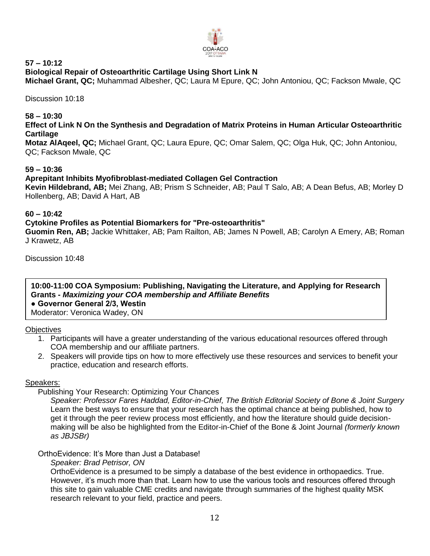

#### **57 – 10:12 Biological Repair of Osteoarthritic Cartilage Using Short Link N**

**Michael Grant, QC;** Muhammad Albesher, QC; Laura M Epure, QC; John Antoniou, QC; Fackson Mwale, QC

Discussion 10:18

**58 – 10:30**

## **Effect of Link N On the Synthesis and Degradation of Matrix Proteins in Human Articular Osteoarthritic Cartilage**

**Motaz AlAqeel, QC;** Michael Grant, QC; Laura Epure, QC; Omar Salem, QC; Olga Huk, QC; John Antoniou, QC; Fackson Mwale, QC

## **59 – 10:36**

## **Aprepitant Inhibits Myofibroblast-mediated Collagen Gel Contraction**

**Kevin Hildebrand, AB;** Mei Zhang, AB; Prism S Schneider, AB; Paul T Salo, AB; A Dean Befus, AB; Morley D Hollenberg, AB; David A Hart, AB

## **60 – 10:42**

## **Cytokine Profiles as Potential Biomarkers for "Pre-osteoarthritis"**

**Guomin Ren, AB;** Jackie Whittaker, AB; Pam Railton, AB; James N Powell, AB; Carolyn A Emery, AB; Roman J Krawetz, AB

Discussion 10:48

**10:00-11:00 COA Symposium: Publishing, Navigating the Literature, and Applying for Research Grants -** *Maximizing your COA membership and Affiliate Benefits*

**● Governor General 2/3, Westin** 

Moderator: Veronica Wadey, ON

## **Objectives**

- 1. Participants will have a greater understanding of the various educational resources offered through COA membership and our affiliate partners.
- 2. Speakers will provide tips on how to more effectively use these resources and services to benefit your practice, education and research efforts.

#### Speakers:

Publishing Your Research: Optimizing Your Chances

*Speaker: Professor Fares Haddad, Editor-in-Chief, The British Editorial Society of Bone & Joint Surgery* Learn the best ways to ensure that your research has the optimal chance at being published, how to get it through the peer review process most efficiently, and how the literature should guide decisionmaking will be also be highlighted from the Editor-in-Chief of the Bone & Joint Journal *(formerly known as JBJSBr)*

## OrthoEvidence: It's More than Just a Database!

#### *Speaker: Brad Petrisor, ON*

OrthoEvidence is a presumed to be simply a database of the best evidence in orthopaedics. True. However, it's much more than that. Learn how to use the various tools and resources offered through this site to gain valuable CME credits and navigate through summaries of the highest quality MSK research relevant to your field, practice and peers.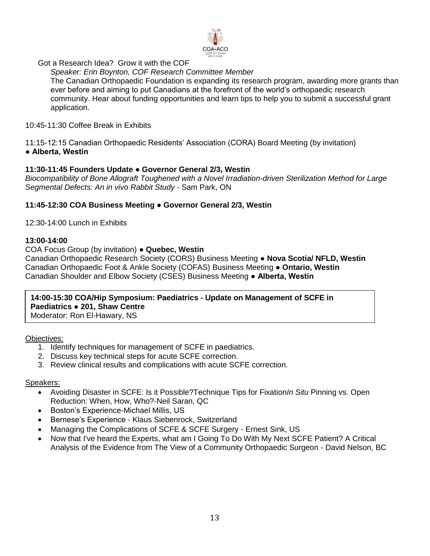

Got a Research Idea? Grow it with the COF

*Speaker: Erin Boynton, COF Research Committee Member*

The Canadian Orthopaedic Foundation is expanding its research program, awarding more grants than ever before and aiming to put Canadians at the forefront of the world's orthopaedic research community. Hear about funding opportunities and learn tips to help you to submit a successful grant application.

10:45-11:30 Coffee Break in Exhibits

11:15-12:15 Canadian Orthopaedic Residents' Association (CORA) Board Meeting (by invitation) **● Alberta, Westin**

## **11:30-11:45 Founders Update ● Governor General 2/3, Westin**

*Biocompatibility of Bone Allograft Toughened with a Novel Irradiation-driven Sterilization Method for Large Segmental Defects: An in vivo Rabbit Study -* Sam Park, ON

## **11:45-12:30 COA Business Meeting ● Governor General 2/3, Westin**

12:30-14:00 Lunch in Exhibits

### **13:00-14:00**

COA Focus Group (by invitation) **● Quebec, Westin**

Canadian Orthopaedic Research Society (CORS) Business Meeting **● Nova Scotia/ NFLD, Westin** Canadian Orthopaedic Foot & Ankle Society (COFAS) Business Meeting **● Ontario, Westin** Canadian Shoulder and Elbow Society (CSES) Business Meeting **● Alberta, Westin** 

**14:00-15:30 COA/Hip Symposium: Paediatrics - Update on Management of SCFE in Paediatrics ● 201, Shaw Centre**  Moderator: Ron El-Hawary, NS

Objectives:

- 1. Identify techniques for management of SCFE in paediatrics.
- 2. Discuss key technical steps for acute SCFE correction.
- 3. Review clinical results and complications with acute SCFE correction.

- Avoiding Disaster in SCFE: Is it Possible?Technique Tips for Fixation*In Situ* Pinning vs. Open Reduction: When, How, Who?-Neil Saran, QC
- Boston's Experience-Michael Millis, US
- Bernese's Experience Klaus Siebenrock, Switzerland
- Managing the Complications of SCFE & SCFE Surgery Ernest Sink, US
- Now that I've heard the Experts, what am I Going To Do With My Next SCFE Patient? A Critical Analysis of the Evidence from The View of a Community Orthopaedic Surgeon - David Nelson, BC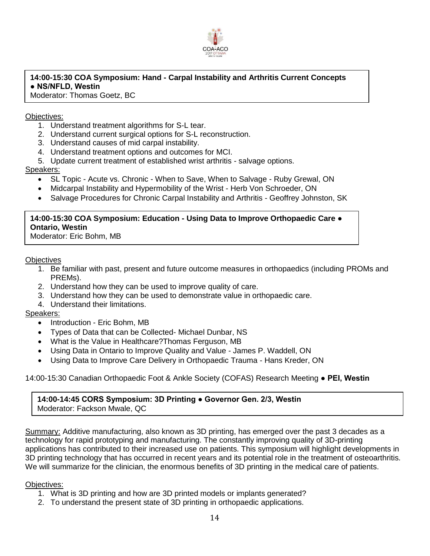

# **14:00-15:30 COA Symposium: Hand - Carpal Instability and Arthritis Current Concepts ● NS/NFLD, Westin**

Moderator: Thomas Goetz, BC

## Objectives:

- 1. Understand treatment algorithms for S-L tear.
- 2. Understand current surgical options for S-L reconstruction.
- 3. Understand causes of mid carpal instability.
- 4. Understand treatment options and outcomes for MCI.
- 5. Update current treatment of established wrist arthritis salvage options.

## Speakers:

- SL Topic Acute vs. Chronic When to Save, When to Salvage Ruby Grewal, ON
- Midcarpal Instability and Hypermobility of the Wrist Herb Von Schroeder, ON
- Salvage Procedures for Chronic Carpal Instability and Arthritis Geoffrey Johnston, SK

## **14:00-15:30 COA Symposium: Education - Using Data to Improve Orthopaedic Care ● Ontario, Westin**

Moderator: Eric Bohm, MB

### **Objectives**

- 1. Be familiar with past, present and future outcome measures in orthopaedics (including PROMs and PREMs).
- 2. Understand how they can be used to improve quality of care.
- 3. Understand how they can be used to demonstrate value in orthopaedic care.
- 4. Understand their limitations.

## Speakers:

- Introduction Eric Bohm, MB
- Types of Data that can be Collected- Michael Dunbar, NS
- What is the Value in Healthcare?Thomas Ferguson, MB
- Using Data in Ontario to Improve Quality and Value James P. Waddell, ON
- Using Data to Improve Care Delivery in Orthopaedic Trauma Hans Kreder, ON

## 14:00-15:30 Canadian Orthopaedic Foot & Ankle Society (COFAS) Research Meeting **● PEI, Westin**

#### **14:00-14:45 CORS Symposium: 3D Printing ● Governor Gen. 2/3, Westin** Moderator: Fackson Mwale, QC

Summary: Additive manufacturing, also known as 3D printing, has emerged over the past 3 decades as a technology for rapid prototyping and manufacturing. The constantly improving quality of 3D-printing applications has contributed to their increased use on patients. This symposium will highlight developments in 3D printing technology that has occurred in recent years and its potential role in the treatment of osteoarthritis. We will summarize for the clinician, the enormous benefits of 3D printing in the medical care of patients.

## Objectives:

- 1. What is 3D printing and how are 3D printed models or implants generated?
- 2. To understand the present state of 3D printing in orthopaedic applications.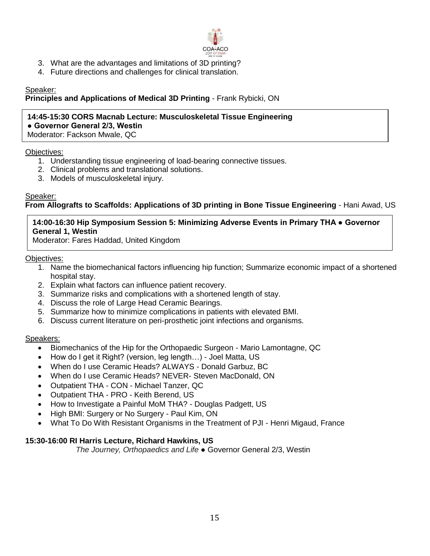

- 3. What are the advantages and limitations of 3D printing?
- 4. Future directions and challenges for clinical translation.

## Speaker:

## **Principles and Applications of Medical 3D Printing** - Frank Rybicki, ON

# **14:45-15:30 CORS Macnab Lecture: Musculoskeletal Tissue Engineering ● Governor General 2/3, Westin**

Moderator: Fackson Mwale, QC

### Objectives:

- 1. Understanding tissue engineering of load-bearing connective tissues.
- 2. Clinical problems and translational solutions.
- 3. Models of musculoskeletal injury.

### Speaker:

## **From Allografts to Scaffolds: Applications of 3D printing in Bone Tissue Engineering** - Hani Awad, US

## **14:00-16:30 Hip Symposium Session 5: Minimizing Adverse Events in Primary THA ● Governor General 1, Westin**

Moderator: Fares Haddad, United Kingdom

#### Objectives:

- 1. Name the biomechanical factors influencing hip function; Summarize economic impact of a shortened hospital stay.
- 2. Explain what factors can influence patient recovery.
- 3. Summarize risks and complications with a shortened length of stay.
- 4. Discuss the role of Large Head Ceramic Bearings.
- 5. Summarize how to minimize complications in patients with elevated BMI.
- 6. Discuss current literature on peri-prosthetic joint infections and organisms.

#### Speakers:

- Biomechanics of the Hip for the Orthopaedic Surgeon Mario Lamontagne, QC
- How do I get it Right? (version, leg length…) Joel Matta, US
- When do I use Ceramic Heads? ALWAYS Donald Garbuz, BC
- When do I use Ceramic Heads? NEVER- Steven MacDonald, ON
- Outpatient THA CON Michael Tanzer, QC
- Outpatient THA PRO Keith Berend, US
- How to Investigate a Painful MoM THA? Douglas Padgett, US
- High BMI: Surgery or No Surgery Paul Kim, ON
- What To Do With Resistant Organisms in the Treatment of PJI Henri Migaud, France

## **15:30-16:00 RI Harris Lecture, Richard Hawkins, US**

*The Journey, Orthopaedics and Life* ● Governor General 2/3, Westin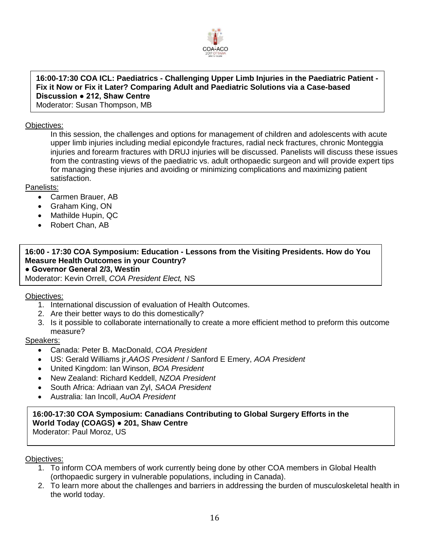

**16:00-17:30 COA ICL: Paediatrics - Challenging Upper Limb Injuries in the Paediatric Patient - Fix it Now or Fix it Later? Comparing Adult and Paediatric Solutions via a Case-based Discussion ● 212, Shaw Centre**

Moderator: Susan Thompson, MB

## Objectives:

In this session, the challenges and options for management of children and adolescents with acute upper limb injuries including medial epicondyle fractures, radial neck fractures, chronic Monteggia injuries and forearm fractures with DRUJ injuries will be discussed. Panelists will discuss these issues from the contrasting views of the paediatric vs. adult orthopaedic surgeon and will provide expert tips for managing these injuries and avoiding or minimizing complications and maximizing patient satisfaction.

## Panelists:

- Carmen Brauer, AB
- Graham King, ON
- Mathilde Hupin, QC
- Robert Chan, AB

# **16:00 - 17:30 COA Symposium: Education - Lessons from the Visiting Presidents. How do You Measure Health Outcomes in your Country? ● Governor General 2/3, Westin**

Moderator: Kevin Orrell, *COA President Elect,* NS

Objectives:

- 1. International discussion of evaluation of Health Outcomes.
- 2. Are their better ways to do this domestically?
- 3. Is it possible to collaborate internationally to create a more efficient method to preform this outcome measure?

#### Speakers:

- Canada: Peter B. MacDonald, *COA President*
- US: Gerald Williams jr,*AAOS President* / Sanford E Emery, *AOA President*
- United Kingdom: Ian Winson, *BOA President*
- New Zealand: Richard Keddell, *NZOA President*
- South Africa: Adriaan van Zyl, *SAOA President*
- Australia: Ian Incoll, *AuOA President*

#### **16:00-17:30 COA Symposium: Canadians Contributing to Global Surgery Efforts in the World Today (COAGS) ● 201, Shaw Centre** Moderator: Paul Moroz, US

Objectives:

- 1. To inform COA members of work currently being done by other COA members in Global Health (orthopaedic surgery in vulnerable populations, including in Canada).
- 2. To learn more about the challenges and barriers in addressing the burden of musculoskeletal health in the world today.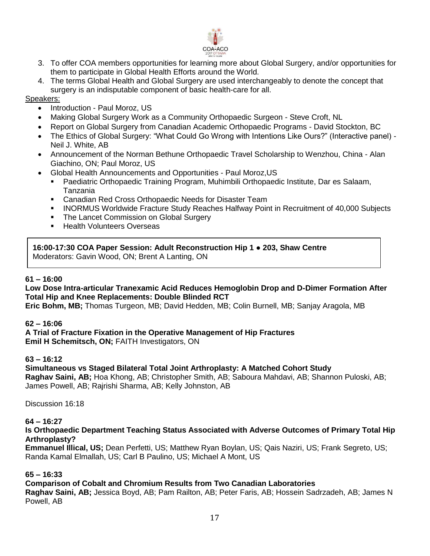

- 3. To offer COA members opportunities for learning more about Global Surgery, and/or opportunities for them to participate in Global Health Efforts around the World.
- 4. The terms Global Health and Global Surgery are used interchangeably to denote the concept that surgery is an indisputable component of basic health-care for all.

## Speakers:

- Introduction Paul Moroz, US
- Making Global Surgery Work as a Community Orthopaedic Surgeon Steve Croft, NL
- Report on Global Surgery from Canadian Academic Orthopaedic Programs David Stockton, BC
- The Ethics of Global Surgery: "What Could Go Wrong with Intentions Like Ours?" (Interactive panel) Neil J. White, AB
- Announcement of the Norman Bethune Orthopaedic Travel Scholarship to Wenzhou, China Alan Giachino, ON; Paul Moroz, US
- Global Health Announcements and Opportunities Paul Moroz,US
	- Paediatric Orthopaedic Training Program, Muhimbili Orthopaedic Institute, Dar es Salaam, Tanzania
	- **EXEC** Canadian Red Cross Orthopaedic Needs for Disaster Team
	- **INORMUS Worldwide Fracture Study Reaches Halfway Point in Recruitment of 40,000 Subjects**
	- The Lancet Commission on Global Surgery
	- **Health Volunteers Overseas**

**16:00-17:30 COA Paper Session: Adult Reconstruction Hip 1 ● 203, Shaw Centre**  Moderators: Gavin Wood, ON; Brent A Lanting, ON

#### **61 – 16:00**

#### **Low Dose Intra-articular Tranexamic Acid Reduces Hemoglobin Drop and D-Dimer Formation After Total Hip and Knee Replacements: Double Blinded RCT**

**Eric Bohm, MB;** Thomas Turgeon, MB; David Hedden, MB; Colin Burnell, MB; Sanjay Aragola, MB

#### **62 – 16:06**

**A Trial of Fracture Fixation in the Operative Management of Hip Fractures Emil H Schemitsch, ON;** FAITH Investigators, ON

#### **63 – 16:12**

**Simultaneous vs Staged Bilateral Total Joint Arthroplasty: A Matched Cohort Study Raghav Saini, AB;** Hoa Khong, AB; Christopher Smith, AB; Saboura Mahdavi, AB; Shannon Puloski, AB; James Powell, AB; Rajrishi Sharma, AB; Kelly Johnston, AB

Discussion 16:18

#### **64 – 16:27**

### **Is Orthopaedic Department Teaching Status Associated with Adverse Outcomes of Primary Total Hip Arthroplasty?**

**Emmanuel Illical, US;** Dean Perfetti, US; Matthew Ryan Boylan, US; Qais Naziri, US; Frank Segreto, US; Randa Kamal Elmallah, US; Carl B Paulino, US; Michael A Mont, US

#### **65 – 16:33**

#### **Comparison of Cobalt and Chromium Results from Two Canadian Laboratories**

**Raghav Saini, AB;** Jessica Boyd, AB; Pam Railton, AB; Peter Faris, AB; Hossein Sadrzadeh, AB; James N Powell, AB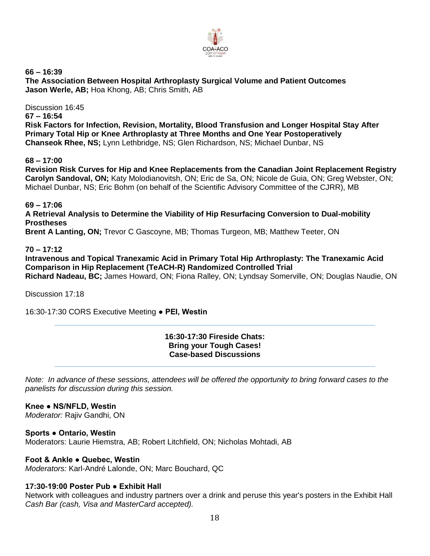

**66 – 16:39 The Association Between Hospital Arthroplasty Surgical Volume and Patient Outcomes Jason Werle, AB;** Hoa Khong, AB; Chris Smith, AB

Discussion 16:45 **67 – 16:54 Risk Factors for Infection, Revision, Mortality, Blood Transfusion and Longer Hospital Stay After Primary Total Hip or Knee Arthroplasty at Three Months and One Year Postoperatively Chanseok Rhee, NS;** Lynn Lethbridge, NS; Glen Richardson, NS; Michael Dunbar, NS

**68 – 17:00**

**Revision Risk Curves for Hip and Knee Replacements from the Canadian Joint Replacement Registry Carolyn Sandoval, ON;** Katy Molodianovitsh, ON; Eric de Sa, ON; Nicole de Guia, ON; Greg Webster, ON; Michael Dunbar, NS; Eric Bohm (on behalf of the Scientific Advisory Committee of the CJRR), MB

**69 – 17:06**

**A Retrieval Analysis to Determine the Viability of Hip Resurfacing Conversion to Dual-mobility Prostheses**

**Brent A Lanting, ON;** Trevor C Gascoyne, MB; Thomas Turgeon, MB; Matthew Teeter, ON

## **70 – 17:12**

**Intravenous and Topical Tranexamic Acid in Primary Total Hip Arthroplasty: The Tranexamic Acid Comparison in Hip Replacement (TeACH-R) Randomized Controlled Trial Richard Nadeau, BC;** James Howard, ON; Fiona Ralley, ON; Lyndsay Somerville, ON; Douglas Naudie, ON

Discussion 17:18

16:30-17:30 CORS Executive Meeting **● PEI, Westin**

#### **16:30-17:30 Fireside Chats: Bring your Tough Cases! Case-based Discussions**

*Note: In advance of these sessions, attendees will be offered the opportunity to bring forward cases to the panelists for discussion during this session.*

## **Knee ● NS/NFLD, Westin**

*Moderator:* Rajiv Gandhi, ON

**Sports ● Ontario, Westin** Moderators: Laurie Hiemstra, AB; Robert Litchfield, ON; Nicholas Mohtadi, AB

#### **Foot & Ankle ● Quebec, Westin**

*Moderators:* Karl-André Lalonde, ON; Marc Bouchard, QC

## **17:30-19:00 Poster Pub ● Exhibit Hall**

Network with colleagues and industry partners over a drink and peruse this year's posters in the Exhibit Hall *Cash Bar (cash, Visa and MasterCard accepted).*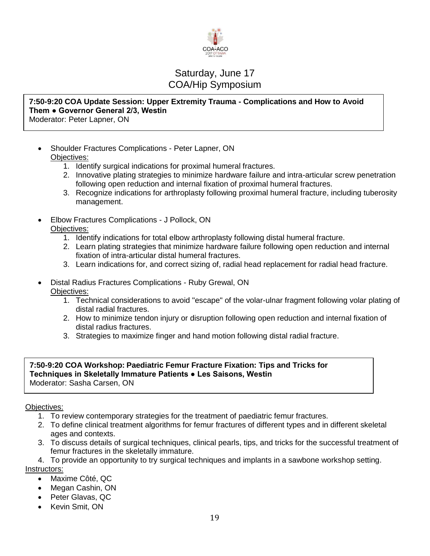

# Saturday, June 17 COA/Hip Symposium

#### **7:50-9:20 COA Update Session: Upper Extremity Trauma - Complications and How to Avoid Them ● Governor General 2/3, Westin** Moderator: Peter Lapner, ON

- Shoulder Fractures Complications Peter Lapner, ON Objectives:
	- 1. Identify surgical indications for proximal humeral fractures.
	- 2. Innovative plating strategies to minimize hardware failure and intra-articular screw penetration following open reduction and internal fixation of proximal humeral fractures.
	- 3. Recognize indications for arthroplasty following proximal humeral fracture, including tuberosity management.
- Elbow Fractures Complications J Pollock, ON Objectives:
	- 1. Identify indications for total elbow arthroplasty following distal humeral fracture.
	- 2. Learn plating strategies that minimize hardware failure following open reduction and internal fixation of intra-articular distal humeral fractures.
	- 3. Learn indications for, and correct sizing of, radial head replacement for radial head fracture.
- Distal Radius Fractures Complications Ruby Grewal, ON Objectives:
	- 1. Technical considerations to avoid "escape" of the volar-ulnar fragment following volar plating of distal radial fractures.
	- 2. How to minimize tendon injury or disruption following open reduction and internal fixation of distal radius fractures.
	- 3. Strategies to maximize finger and hand motion following distal radial fracture.

### **7:50-9:20 COA Workshop: Paediatric Femur Fracture Fixation: Tips and Tricks for Techniques in Skeletally Immature Patients ● Les Saisons, Westin**  Moderator: Sasha Carsen, ON

## Objectives:

- 1. To review contemporary strategies for the treatment of paediatric femur fractures.
- 2. To define clinical treatment algorithms for femur fractures of different types and in different skeletal ages and contexts.
- 3. To discuss details of surgical techniques, clinical pearls, tips, and tricks for the successful treatment of femur fractures in the skeletally immature.
- 4. To provide an opportunity to try surgical techniques and implants in a sawbone workshop setting. Instructors:
	- Maxime Côté, QC
	- Megan Cashin, ON
	- Peter Glavas, QC
	- Kevin Smit, ON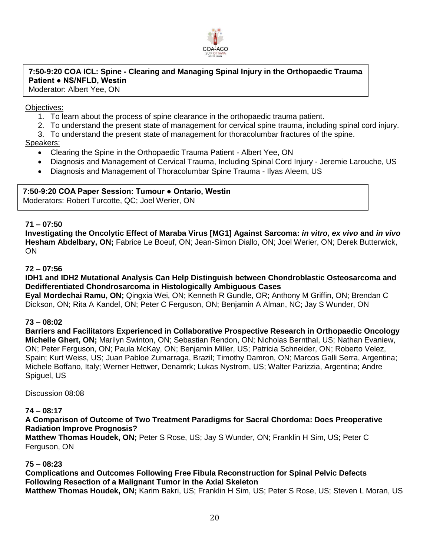

# **7:50-9:20 COA ICL: Spine - Clearing and Managing Spinal Injury in the Orthopaedic Trauma Patient ● NS/NFLD, Westin**

Moderator: Albert Yee, ON

### Objectives:

- 1. To learn about the process of spine clearance in the orthopaedic trauma patient.
- 2. To understand the present state of management for cervical spine trauma, including spinal cord injury.
- 3. To understand the present state of management for thoracolumbar fractures of the spine.

## Speakers:

- Clearing the Spine in the Orthopaedic Trauma Patient Albert Yee, ON
- Diagnosis and Management of Cervical Trauma, Including Spinal Cord Injury Jeremie Larouche, US
- Diagnosis and Management of Thoracolumbar Spine Trauma Ilyas Aleem, US

## **7:50-9:20 COA Paper Session: Tumour ● Ontario, Westin**

Moderators: Robert Turcotte, QC; Joel Werier, ON

## **71 – 07:50**

**Investigating the Oncolytic Effect of Maraba Virus [MG1] Against Sarcoma:** *in vitro, ex vivo* **and** *in vivo* **Hesham Abdelbary, ON;** Fabrice Le Boeuf, ON; Jean-Simon Diallo, ON; Joel Werier, ON; Derek Butterwick, ON

#### **72 – 07:56**

**IDH1 and IDH2 Mutational Analysis Can Help Distinguish between Chondroblastic Osteosarcoma and Dedifferentiated Chondrosarcoma in Histologically Ambiguous Cases**

**Eyal Mordechai Ramu, ON;** Qingxia Wei, ON; Kenneth R Gundle, OR; Anthony M Griffin, ON; Brendan C Dickson, ON; Rita A Kandel, ON; Peter C Ferguson, ON; Benjamin A Alman, NC; Jay S Wunder, ON

#### **73 – 08:02**

**Barriers and Facilitators Experienced in Collaborative Prospective Research in Orthopaedic Oncology Michelle Ghert, ON;** Marilyn Swinton, ON; Sebastian Rendon, ON; Nicholas Bernthal, US; Nathan Evaniew, ON; Peter Ferguson, ON; Paula McKay, ON; Benjamin Miller, US; Patricia Schneider, ON; Roberto Velez, Spain; Kurt Weiss, US; Juan Pabloe Zumarraga, Brazil; Timothy Damron, ON; Marcos Galli Serra, Argentina; Michele Boffano, Italy; Werner Hettwer, Denamrk; Lukas Nystrom, US; Walter Parizzia, Argentina; Andre Spiguel, US

Discussion 08:08

#### **74 – 08:17**

**A Comparison of Outcome of Two Treatment Paradigms for Sacral Chordoma: Does Preoperative Radiation Improve Prognosis?**

**Matthew Thomas Houdek, ON;** Peter S Rose, US; Jay S Wunder, ON; Franklin H Sim, US; Peter C Ferguson, ON

#### **75 – 08:23**

**Complications and Outcomes Following Free Fibula Reconstruction for Spinal Pelvic Defects Following Resection of a Malignant Tumor in the Axial Skeleton Matthew Thomas Houdek, ON;** Karim Bakri, US; Franklin H Sim, US; Peter S Rose, US; Steven L Moran, US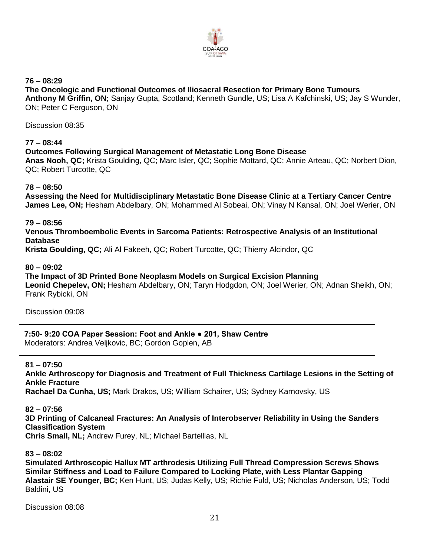

**76 – 08:29 The Oncologic and Functional Outcomes of Iliosacral Resection for Primary Bone Tumours Anthony M Griffin, ON;** Sanjay Gupta, Scotland; Kenneth Gundle, US; Lisa A Kafchinski, US; Jay S Wunder, ON; Peter C Ferguson, ON

Discussion 08:35

### **77 – 08:44**

### **Outcomes Following Surgical Management of Metastatic Long Bone Disease**

**Anas Nooh, QC;** Krista Goulding, QC; Marc Isler, QC; Sophie Mottard, QC; Annie Arteau, QC; Norbert Dion, QC; Robert Turcotte, QC

**78 – 08:50**

**Assessing the Need for Multidisciplinary Metastatic Bone Disease Clinic at a Tertiary Cancer Centre James Lee, ON;** Hesham Abdelbary, ON; Mohammed Al Sobeai, ON; Vinay N Kansal, ON; Joel Werier, ON

**79 – 08:56**

**Venous Thromboembolic Events in Sarcoma Patients: Retrospective Analysis of an Institutional Database**

**Krista Goulding, QC;** Ali Al Fakeeh, QC; Robert Turcotte, QC; Thierry Alcindor, QC

**80 – 09:02**

**The Impact of 3D Printed Bone Neoplasm Models on Surgical Excision Planning Leonid Chepelev, ON;** Hesham Abdelbary, ON; Taryn Hodgdon, ON; Joel Werier, ON; Adnan Sheikh, ON; Frank Rybicki, ON

Discussion 09:08

**7:50- 9:20 COA Paper Session: Foot and Ankle ● 201, Shaw Centre**  Moderators: Andrea Veljkovic, BC; Gordon Goplen, AB

#### **81 – 07:50**

**Ankle Arthroscopy for Diagnosis and Treatment of Full Thickness Cartilage Lesions in the Setting of Ankle Fracture Rachael Da Cunha, US;** Mark Drakos, US; William Schairer, US; Sydney Karnovsky, US

**82 – 07:56 3D Printing of Calcaneal Fractures: An Analysis of Interobserver Reliability in Using the Sanders Classification System Chris Small, NL;** Andrew Furey, NL; Michael Bartelllas, NL

**83 – 08:02**

**Simulated Arthroscopic Hallux MT arthrodesis Utilizing Full Thread Compression Screws Shows Similar Stiffness and Load to Failure Compared to Locking Plate, with Less Plantar Gapping Alastair SE Younger, BC;** Ken Hunt, US; Judas Kelly, US; Richie Fuld, US; Nicholas Anderson, US; Todd Baldini, US

Discussion 08:08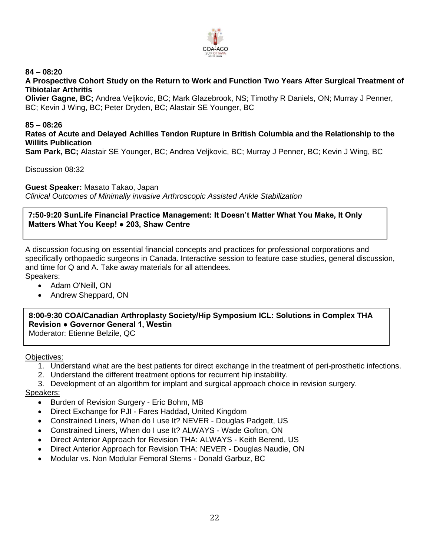

## **84 – 08:20**

**A Prospective Cohort Study on the Return to Work and Function Two Years After Surgical Treatment of Tibiotalar Arthritis**

**Olivier Gagne, BC;** Andrea Veljkovic, BC; Mark Glazebrook, NS; Timothy R Daniels, ON; Murray J Penner, BC; Kevin J Wing, BC; Peter Dryden, BC; Alastair SE Younger, BC

## **85 – 08:26**

**Rates of Acute and Delayed Achilles Tendon Rupture in British Columbia and the Relationship to the Willits Publication**

**Sam Park, BC;** Alastair SE Younger, BC; Andrea Veljkovic, BC; Murray J Penner, BC; Kevin J Wing, BC

Discussion 08:32

**Guest Speaker:** Masato Takao, Japan

*Clinical Outcomes of Minimally invasive Arthroscopic Assisted Ankle Stabilization*

### **7:50-9:20 SunLife Financial Practice Management: It Doesn't Matter What You Make, It Only Matters What You Keep! ● 203, Shaw Centre**

A discussion focusing on essential financial concepts and practices for professional corporations and specifically orthopaedic surgeons in Canada. Interactive session to feature case studies, general discussion, and time for Q and A. Take away materials for all attendees. Speakers:

- Adam O'Neill, ON
- Andrew Sheppard, ON

**8:00-9:30 COA/Canadian Arthroplasty Society/Hip Symposium ICL: Solutions in Complex THA Revision ● Governor General 1, Westin** Moderator: Etienne Belzile, QC

Objectives:

- 1. Understand what are the best patients for direct exchange in the treatment of peri-prosthetic infections.
- 2. Understand the different treatment options for recurrent hip instability.
- 3. Development of an algorithm for implant and surgical approach choice in revision surgery.

- Burden of Revision Surgery Eric Bohm, MB
- Direct Exchange for PJI Fares Haddad, United Kingdom
- Constrained Liners, When do I use It? NEVER Douglas Padgett, US
- Constrained Liners, When do I use It? ALWAYS Wade Gofton, ON
- Direct Anterior Approach for Revision THA: ALWAYS Keith Berend, US
- Direct Anterior Approach for Revision THA: NEVER Douglas Naudie, ON
- Modular vs. Non Modular Femoral Stems Donald Garbuz, BC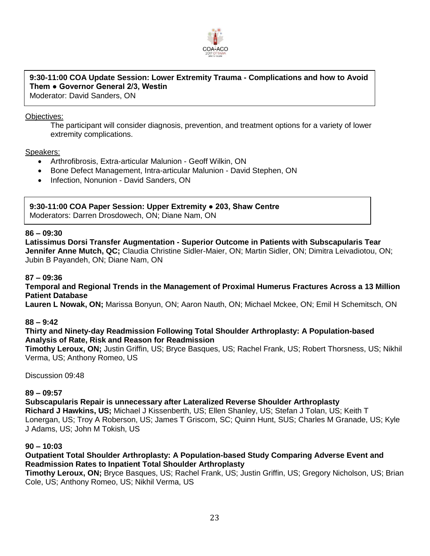

# **9:30-11:00 COA Update Session: Lower Extremity Trauma - Complications and how to Avoid Them ● Governor General 2/3, Westin**

Moderator: David Sanders, ON

### Objectives:

The participant will consider diagnosis, prevention, and treatment options for a variety of lower extremity complications.

### Speakers:

- Arthrofibrosis, Extra-articular Malunion Geoff Wilkin, ON
- Bone Defect Management, Intra-articular Malunion David Stephen, ON
- Infection, Nonunion David Sanders, ON

# **9:30-11:00 COA Paper Session: Upper Extremity ● 203, Shaw Centre**

Moderators: Darren Drosdowech, ON; Diane Nam, ON

#### **86 – 09:30**

**Latissimus Dorsi Transfer Augmentation - Superior Outcome in Patients with Subscapularis Tear Jennifer Anne Mutch, QC;** Claudia Christine Sidler-Maier, ON; Martin Sidler, ON; Dimitra Leivadiotou, ON; Jubin B Payandeh, ON; Diane Nam, ON

### **87 – 09:36**

### **Temporal and Regional Trends in the Management of Proximal Humerus Fractures Across a 13 Million Patient Database**

**Lauren L Nowak, ON;** Marissa Bonyun, ON; Aaron Nauth, ON; Michael Mckee, ON; Emil H Schemitsch, ON

#### **88 – 9:42**

### **Thirty and Ninety-day Readmission Following Total Shoulder Arthroplasty: A Population-based Analysis of Rate, Risk and Reason for Readmission**

**Timothy Leroux, ON;** Justin Griffin, US; Bryce Basques, US; Rachel Frank, US; Robert Thorsness, US; Nikhil Verma, US; Anthony Romeo, US

Discussion 09:48

#### **89 – 09:57**

**Subscapularis Repair is unnecessary after Lateralized Reverse Shoulder Arthroplasty Richard J Hawkins, US;** Michael J Kissenberth, US; Ellen Shanley, US; Stefan J Tolan, US; Keith T Lonergan, US; Troy A Roberson, US; James T Griscom, SC; Quinn Hunt, SUS; Charles M Granade, US; Kyle J Adams, US; John M Tokish, US

#### **90 – 10:03**

### **Outpatient Total Shoulder Arthroplasty: A Population-based Study Comparing Adverse Event and Readmission Rates to Inpatient Total Shoulder Arthroplasty**

**Timothy Leroux, ON;** Bryce Basques, US; Rachel Frank, US; Justin Griffin, US; Gregory Nicholson, US; Brian Cole, US; Anthony Romeo, US; Nikhil Verma, US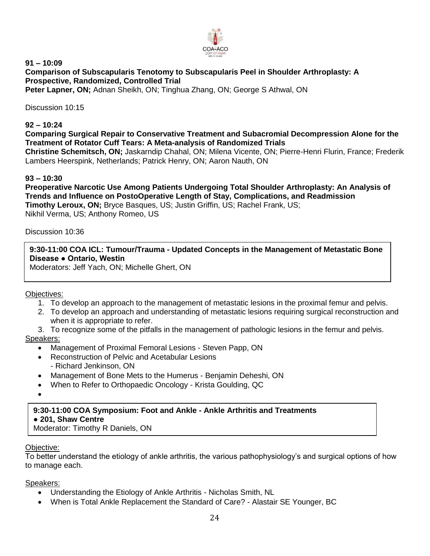

#### **91 – 10:09 Comparison of Subscapularis Tenotomy to Subscapularis Peel in Shoulder Arthroplasty: A Prospective, Randomized, Controlled Trial Peter Lapner, ON;** Adnan Sheikh, ON; Tinghua Zhang, ON; George S Athwal, ON

Discussion 10:15

### **92 – 10:24**

### **Comparing Surgical Repair to Conservative Treatment and Subacromial Decompression Alone for the Treatment of Rotator Cuff Tears: A Meta-analysis of Randomized Trials**

**Christine Schemitsch, ON;** Jaskarndip Chahal, ON; Milena Vicente, ON; Pierre-Henri Flurin, France; Frederik Lambers Heerspink, Netherlands; Patrick Henry, ON; Aaron Nauth, ON

### **93 – 10:30**

**Preoperative Narcotic Use Among Patients Undergoing Total Shoulder Arthroplasty: An Analysis of Trends and Influence on PostoOperative Length of Stay, Complications, and Readmission Timothy Leroux, ON;** Bryce Basques, US; Justin Griffin, US; Rachel Frank, US; Nikhil Verma, US; Anthony Romeo, US

### Discussion 10:36

## **9:30-11:00 COA ICL: Tumour/Trauma - Updated Concepts in the Management of Metastatic Bone Disease ● Ontario, Westin**

Moderators: Jeff Yach, ON; Michelle Ghert, ON

## Objectives:

- 1. To develop an approach to the management of metastatic lesions in the proximal femur and pelvis.
- 2. To develop an approach and understanding of metastatic lesions requiring surgical reconstruction and when it is appropriate to refer.
- 3. To recognize some of the pitfalls in the management of pathologic lesions in the femur and pelvis. Speakers:
	- Management of Proximal Femoral Lesions Steven Papp, ON
	- Reconstruction of Pelvic and Acetabular Lesions - Richard Jenkinson, ON
	- Management of Bone Mets to the Humerus Benjamin Deheshi, ON
	- When to Refer to Orthopaedic Oncology Krista Goulding, QC
	- $\bullet$

## **9:30-11:00 COA Symposium: Foot and Ankle - Ankle Arthritis and Treatments**

**● 201, Shaw Centre** 

Moderator: Timothy R Daniels, ON

## Objective:

To better understand the etiology of ankle arthritis, the various pathophysiology's and surgical options of how to manage each.

- Understanding the Etiology of Ankle Arthritis Nicholas Smith, NL
- When is Total Ankle Replacement the Standard of Care? Alastair SE Younger, BC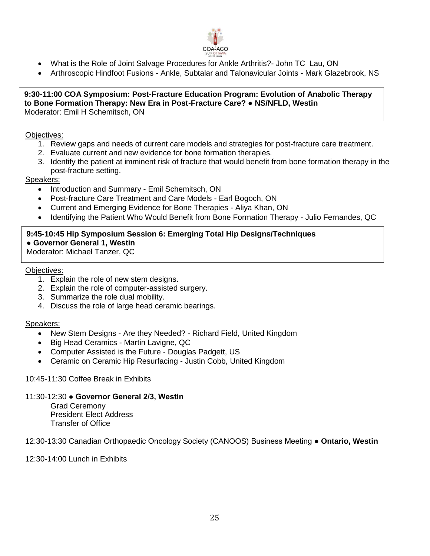

- What is the Role of Joint Salvage Procedures for Ankle Arthritis?- John TC Lau, ON
- Arthroscopic Hindfoot Fusions Ankle, Subtalar and Talonavicular Joints Mark Glazebrook, NS

#### **9:30-11:00 COA Symposium: Post-Fracture Education Program: Evolution of Anabolic Therapy to Bone Formation Therapy: New Era in Post-Fracture Care? ● NS/NFLD, Westin** Moderator: Emil H Schemitsch, ON

#### Objectives:

- 1. Review gaps and needs of current care models and strategies for post-fracture care treatment.
- 2. Evaluate current and new evidence for bone formation therapies.
- 3. Identify the patient at imminent risk of fracture that would benefit from bone formation therapy in the post-fracture setting.

## Speakers:

- Introduction and Summary Emil Schemitsch, ON
- Post-fracture Care Treatment and Care Models Earl Bogoch, ON
- Current and Emerging Evidence for Bone Therapies Aliya Khan, ON
- Identifying the Patient Who Would Benefit from Bone Formation Therapy Julio Fernandes, QC

# **9:45-10:45 Hip Symposium Session 6: Emerging Total Hip Designs/Techniques ● Governor General 1, Westin**

Moderator: Michael Tanzer, QC

### Objectives:

- 1. Explain the role of new stem designs.
- 2. Explain the role of computer-assisted surgery.
- 3. Summarize the role dual mobility.
- 4. Discuss the role of large head ceramic bearings.

#### Speakers:

- New Stem Designs Are they Needed? Richard Field, United Kingdom
- Big Head Ceramics Martin Lavigne, QC
- Computer Assisted is the Future Douglas Padgett, US
- Ceramic on Ceramic Hip Resurfacing Justin Cobb, United Kingdom

#### 10:45-11:30 Coffee Break in Exhibits

#### 11:30-12:30 **● Governor General 2/3, Westin**

Grad Ceremony President Elect Address Transfer of Office

12:30-13:30 Canadian Orthopaedic Oncology Society (CANOOS) Business Meeting ● **Ontario, Westin**

12:30-14:00 Lunch in Exhibits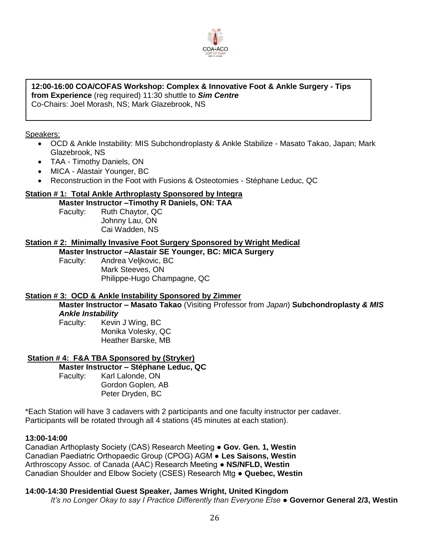

# **12:00-16:00 COA/COFAS Workshop: Complex & Innovative Foot & Ankle Surgery - Tips from Experience** (reg required) 11:30 shuttle to *Sim Centre*

Co-Chairs: Joel Morash, NS; Mark Glazebrook, NS

### Speakers:

- OCD & Ankle Instability: MIS Subchondroplasty & Ankle Stabilize Masato Takao, Japan; Mark Glazebrook, NS
- TAA Timothy Daniels, ON
- MICA Alastair Younger, BC
- Reconstruction in the Foot with Fusions & Osteotomies Stéphane Leduc, QC

## **Station # 1: Total Ankle Arthroplasty Sponsored by Integra**

**Master Instructor –Timothy R Daniels, ON: TAA** Faculty: Ruth Chaytor, QC Johnny Lau, ON Cai Wadden, NS

### **Station # 2: Minimally Invasive Foot Surgery Sponsored by Wright Medical**

**Master Instructor –Alastair SE Younger, BC: MICA Surgery** Faculty: Andrea Veljkovic, BC Mark Steeves, ON Philippe-Hugo Champagne, QC

#### **Station # 3: OCD & Ankle Instability Sponsored by Zimmer**

**Master Instructor – Masato Takao** (Visiting Professor from *Japan*) **Subchondroplasty** *& MIS Ankle Instability*

Faculty: Kevin J Wing, BC Monika Volesky, QC Heather Barske, MB

## **Station # 4: F&A TBA Sponsored by (Stryker)**

**Master Instructor – Stéphane Leduc, QC**  Faculty: Karl Lalonde, ON Gordon Goplen, AB Peter Dryden, BC

\*Each Station will have 3 cadavers with 2 participants and one faculty instructor per cadaver. Participants will be rotated through all 4 stations (45 minutes at each station).

#### **13:00-14:00**

Canadian Arthoplasty Society (CAS) Research Meeting ● **Gov. Gen. 1, Westin** Canadian Paediatric Orthopaedic Group (CPOG) AGM ● **Les Saisons, Westin** Arthroscopy Assoc. of Canada (AAC) Research Meeting ● **NS/NFLD, Westin** Canadian Shoulder and Elbow Society (CSES) Research Mtg ● **Quebec, Westin**

#### **14:00-14:30 Presidential Guest Speaker, James Wright, United Kingdom**

*It's no Longer Okay to say I Practice Differently than Everyone Else* **● Governor General 2/3, Westin**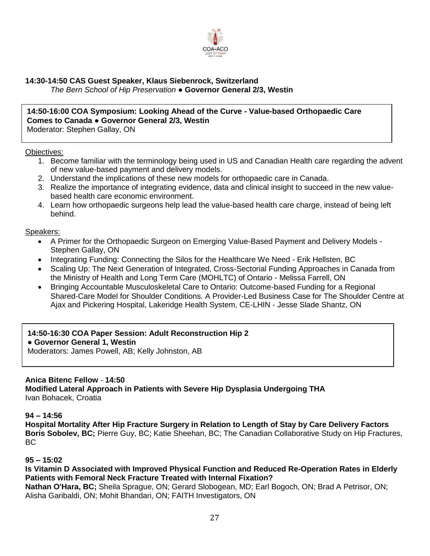

## **14:30-14:50 CAS Guest Speaker, Klaus Siebenrock, Switzerland**

*The Bern School of Hip Preservation* **● Governor General 2/3, Westin**

# **14:50-16:00 COA Symposium: Looking Ahead of the Curve - Value-based Orthopaedic Care Comes to Canada ● Governor General 2/3, Westin**

Moderator: Stephen Gallay, ON

### Objectives:

- 1. Become familiar with the terminology being used in US and Canadian Health care regarding the advent of new value-based payment and delivery models.
- 2. Understand the implications of these new models for orthopaedic care in Canada.
- 3. Realize the importance of integrating evidence, data and clinical insight to succeed in the new valuebased health care economic environment.
- 4. Learn how orthopaedic surgeons help lead the value-based health care charge, instead of being left behind.

### Speakers:

- A Primer for the Orthopaedic Surgeon on Emerging Value-Based Payment and Delivery Models Stephen Gallay, ON
- Integrating Funding: Connecting the Silos for the Healthcare We Need Erik Hellsten, BC
- Scaling Up: The Next Generation of Integrated, Cross-Sectorial Funding Approaches in Canada from the Ministry of Health and Long Term Care (MOHLTC) of Ontario - Melissa Farrell, ON
- Bringing Accountable Musculoskeletal Care to Ontario: Outcome-based Funding for a Regional Shared-Care Model for Shoulder Conditions. A Provider-Led Business Case for The Shoulder Centre at Ajax and Pickering Hospital, Lakeridge Health System, CE-LHIN - Jesse Slade Shantz, ON

## **14:50-16:30 COA Paper Session: Adult Reconstruction Hip 2**

## **● Governor General 1, Westin**

Moderators: James Powell, AB; Kelly Johnston, AB

## **Anica Bitenc Fellow** - **14:50**

**Modified Lateral Approach in Patients with Severe Hip Dysplasia Undergoing THA** Ivan Bohacek, Croatia

## **94 – 14:56**

**Hospital Mortality After Hip Fracture Surgery in Relation to Length of Stay by Care Delivery Factors Boris Sobolev, BC;** Pierre Guy, BC; Katie Sheehan, BC; The Canadian Collaborative Study on Hip Fractures. BC

## **95 – 15:02**

**Is Vitamin D Associated with Improved Physical Function and Reduced Re-Operation Rates in Elderly Patients with Femoral Neck Fracture Treated with Internal Fixation?**

**Nathan O'Hara, BC;** Sheila Sprague, ON; Gerard Slobogean, MD; Earl Bogoch, ON; Brad A Petrisor, ON; Alisha Garibaldi, ON; Mohit Bhandari, ON; FAITH Investigators, ON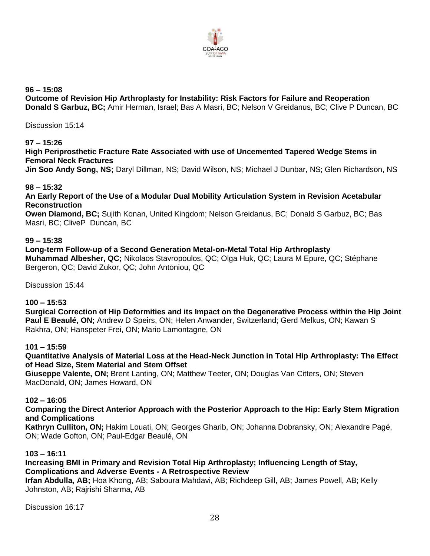

**96 – 15:08**

**Outcome of Revision Hip Arthroplasty for Instability: Risk Factors for Failure and Reoperation Donald S Garbuz, BC;** Amir Herman, Israel; Bas A Masri, BC; Nelson V Greidanus, BC; Clive P Duncan, BC

Discussion 15:14

## **97 – 15:26**

**High Periprosthetic Fracture Rate Associated with use of Uncemented Tapered Wedge Stems in Femoral Neck Fractures**

**Jin Soo Andy Song, NS;** Daryl Dillman, NS; David Wilson, NS; Michael J Dunbar, NS; Glen Richardson, NS

## **98 – 15:32**

**An Early Report of the Use of a Modular Dual Mobility Articulation System in Revision Acetabular Reconstruction**

**Owen Diamond, BC;** Sujith Konan, United Kingdom; Nelson Greidanus, BC; Donald S Garbuz, BC; Bas Masri, BC; CliveP Duncan, BC

## **99 – 15:38**

**Long-term Follow-up of a Second Generation Metal-on-Metal Total Hip Arthroplasty Muhammad Albesher, QC;** Nikolaos Stavropoulos, QC; Olga Huk, QC; Laura M Epure, QC; Stéphane Bergeron, QC; David Zukor, QC; John Antoniou, QC

Discussion 15:44

## **100 – 15:53**

**Surgical Correction of Hip Deformities and its Impact on the Degenerative Process within the Hip Joint Paul E Beaulé, ON;** Andrew D Speirs, ON; Helen Anwander, Switzerland; Gerd Melkus, ON; Kawan S Rakhra, ON; Hanspeter Frei, ON; Mario Lamontagne, ON

## **101 – 15:59**

**Quantitative Analysis of Material Loss at the Head-Neck Junction in Total Hip Arthroplasty: The Effect of Head Size, Stem Material and Stem Offset**

**Giuseppe Valente, ON;** Brent Lanting, ON; Matthew Teeter, ON; Douglas Van Citters, ON; Steven MacDonald, ON; James Howard, ON

#### **102 – 16:05**

**Comparing the Direct Anterior Approach with the Posterior Approach to the Hip: Early Stem Migration and Complications**

**Kathryn Culliton, ON;** Hakim Louati, ON; Georges Gharib, ON; Johanna Dobransky, ON; Alexandre Pagé, ON; Wade Gofton, ON; Paul-Edgar Beaulé, ON

#### **103 – 16:11**

**Increasing BMI in Primary and Revision Total Hip Arthroplasty; Influencing Length of Stay, Complications and Adverse Events - A Retrospective Review Irfan Abdulla, AB;** Hoa Khong, AB; Saboura Mahdavi, AB; Richdeep Gill, AB; James Powell, AB; Kelly

Johnston, AB; Rajrishi Sharma, AB

Discussion 16:17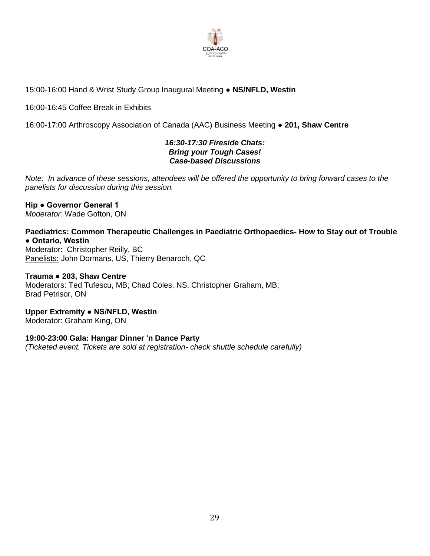

## 15:00-16:00 Hand & Wrist Study Group Inaugural Meeting **● NS/NFLD, Westin**

16:00-16:45 Coffee Break in Exhibits

16:00-17:00 Arthroscopy Association of Canada (AAC) Business Meeting ● **201, Shaw Centre**

## *16:30-17:30 Fireside Chats: Bring your Tough Cases! Case-based Discussions*

*Note: In advance of these sessions, attendees will be offered the opportunity to bring forward cases to the panelists for discussion during this session.*

#### **Hip ● Governor General 1** *Moderator:* Wade Gofton, ON

# **Paediatrics: Common Therapeutic Challenges in Paediatric Orthopaedics- How to Stay out of Trouble ● Ontario, Westin**

Moderator: Christopher Reilly, BC Panelists: John Dormans, US, Thierry Benaroch, QC

## **Trauma** ● **203, Shaw Centre**

Moderators: Ted Tufescu, MB; Chad Coles, NS, Christopher Graham, MB; Brad Petrisor, ON

**Upper Extremity ● NS/NFLD, Westin**  Moderator: Graham King, ON

## **19:00-23:00 Gala: Hangar Dinner 'n Dance Party**

*(Ticketed event. Tickets are sold at registration- check shuttle schedule carefully)*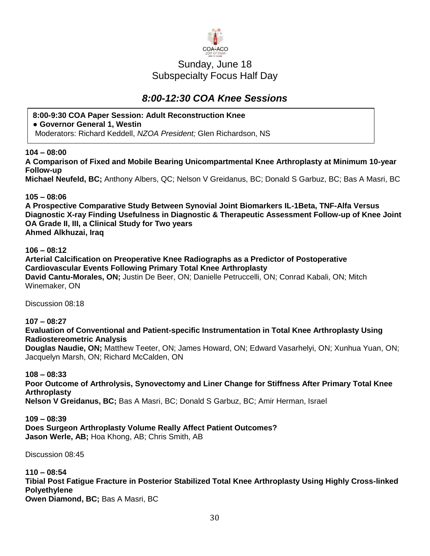

# Sunday, June 18 Subspecialty Focus Half Day

# *8:00-12:30 COA Knee Sessions*

## **8:00-9:30 COA Paper Session: Adult Reconstruction Knee**

**● Governor General 1, Westin**

Moderators: Richard Keddell, *NZOA President;* Glen Richardson, NS

## **104 – 08:00**

**A Comparison of Fixed and Mobile Bearing Unicompartmental Knee Arthroplasty at Minimum 10-year Follow-up** 

**Michael Neufeld, BC;** Anthony Albers, QC; Nelson V Greidanus, BC; Donald S Garbuz, BC; Bas A Masri, BC

## **105 – 08:06**

**A Prospective Comparative Study Between Synovial Joint Biomarkers IL-1Beta, TNF-Alfa Versus Diagnostic X-ray Finding Usefulness in Diagnostic & Therapeutic Assessment Follow-up of Knee Joint OA Grade II, III, a Clinical Study for Two years Ahmed Alkhuzai, Iraq**

## **106 – 08:12**

**Arterial Calcification on Preoperative Knee Radiographs as a Predictor of Postoperative Cardiovascular Events Following Primary Total Knee Arthroplasty David Cantu-Morales, ON;** Justin De Beer, ON; Danielle Petruccelli, ON; Conrad Kabali, ON; Mitch Winemaker, ON

Discussion 08:18

**107 – 08:27**

## **Evaluation of Conventional and Patient-specific Instrumentation in Total Knee Arthroplasty Using Radiostereometric Analysis**

**Douglas Naudie, ON;** Matthew Teeter, ON; James Howard, ON; Edward Vasarhelyi, ON; Xunhua Yuan, ON; Jacquelyn Marsh, ON; Richard McCalden, ON

## **108 – 08:33**

**Poor Outcome of Arthrolysis, Synovectomy and Liner Change for Stiffness After Primary Total Knee Arthroplasty**

**Nelson V Greidanus, BC;** Bas A Masri, BC; Donald S Garbuz, BC; Amir Herman, Israel

# **109 – 08:39**

**Does Surgeon Arthroplasty Volume Really Affect Patient Outcomes? Jason Werle, AB;** Hoa Khong, AB; Chris Smith, AB

Discussion 08:45

**110 – 08:54**

**Tibial Post Fatigue Fracture in Posterior Stabilized Total Knee Arthroplasty Using Highly Cross-linked Polyethylene**

**Owen Diamond, BC;** Bas A Masri, BC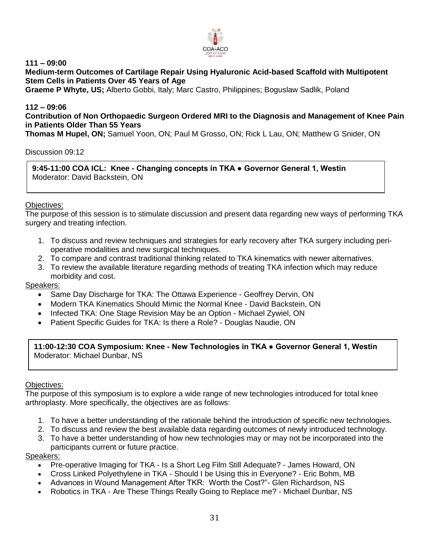

**111 – 09:00**

**Medium-term Outcomes of Cartilage Repair Using Hyaluronic Acid-based Scaffold with Multipotent Stem Cells in Patients Over 45 Years of Age**

**Graeme P Whyte, US;** Alberto Gobbi, Italy; Marc Castro, Philippines; Boguslaw Sadlik, Poland

## **112 – 09:06**

**Contribution of Non Orthopaedic Surgeon Ordered MRI to the Diagnosis and Management of Knee Pain in Patients Older Than 55 Years**

**Thomas M Hupel, ON;** Samuel Yoon, ON; Paul M Grosso, ON; Rick L Lau, ON; Matthew G Snider, ON

Discussion 09:12

**9:45-11:00 COA ICL: Knee - Changing concepts in TKA ● Governor General 1, Westin** Moderator: David Backstein, ON

### Objectives:

The purpose of this session is to stimulate discussion and present data regarding new ways of performing TKA surgery and treating infection.

- 1. To discuss and review techniques and strategies for early recovery after TKA surgery including perioperative modalities and new surgical techniques.
- 2. To compare and contrast traditional thinking related to TKA kinematics with newer alternatives.
- 3. To review the available literature regarding methods of treating TKA infection which may reduce morbidity and cost.

#### Speakers:

- Same Day Discharge for TKA: The Ottawa Experience Geoffrey Dervin, ON
- Modern TKA Kinematics Should Mimic the Normal Knee David Backstein, ON
- Infected TKA: One Stage Revision May be an Option Michael Zywiel, ON
- Patient Specific Guides for TKA: Is there a Role? Douglas Naudie, ON

**11:00-12:30 COA Symposium: Knee - New Technologies in TKA ● Governor General 1, Westin** Moderator: Michael Dunbar, NS

Objectives:

The purpose of this symposium is to explore a wide range of new technologies introduced for total knee arthroplasty. More specifically, the objectives are as follows:

- 1. To have a better understanding of the rationale behind the introduction of specific new technologies.
- 2. To discuss and review the best available data regarding outcomes of newly introduced technology.
- 3. To have a better understanding of how new technologies may or may not be incorporated into the participants current or future practice.

- Pre-operative Imaging for TKA Is a Short Leg Film Still Adequate? James Howard, ON
- Cross Linked Polyethylene in TKA Should I be Using this in Everyone? Eric Bohm, MB
- Advances in Wound Management After TKR: Worth the Cost?"- Glen Richardson, NS
- Robotics in TKA Are These Things Really Going to Replace me? Michael Dunbar, NS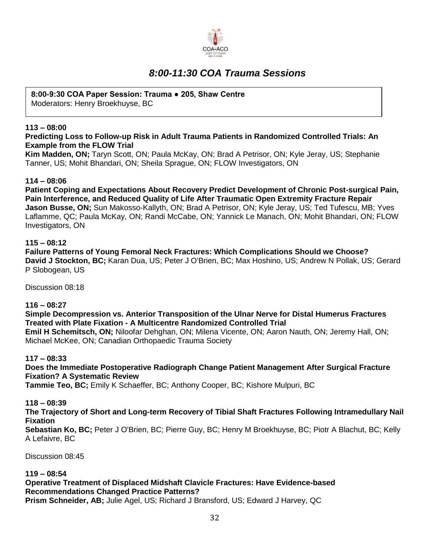

# *8:00-11:30 COA Trauma Sessions*

## **8:00-9:30 COA Paper Session: Trauma ● 205, Shaw Centre**

Moderators: Henry Broekhuyse, BC

## **113 – 08:00**

## **Predicting Loss to Follow-up Risk in Adult Trauma Patients in Randomized Controlled Trials: An Example from the FLOW Trial**

**Kim Madden, ON;** Taryn Scott, ON; Paula McKay, ON; Brad A Petrisor, ON; Kyle Jeray, US; Stephanie Tanner, US; Mohit Bhandari, ON; Sheila Sprague, ON; FLOW Investigators, ON

## **114 – 08:06**

**Patient Coping and Expectations About Recovery Predict Development of Chronic Post-surgical Pain, Pain Interference, and Reduced Quality of Life After Traumatic Open Extremity Fracture Repair Jason Busse, ON;** Sun Makosso-Kallyth, ON; Brad A Petrisor, ON; Kyle Jeray, US; Ted Tufescu, MB; Yves Laflamme, QC; Paula McKay, ON; Randi McCabe, ON; Yannick Le Manach, ON; Mohit Bhandari, ON; FLOW Investigators, ON

## **115 – 08:12**

**Failure Patterns of Young Femoral Neck Fractures: Which Complications Should we Choose? David J Stockton, BC;** Karan Dua, US; Peter J O'Brien, BC; Max Hoshino, US; Andrew N Pollak, US; Gerard P Slobogean, US

Discussion 08:18

## **116 – 08:27**

**Simple Decompression vs. Anterior Transposition of the Ulnar Nerve for Distal Humerus Fractures Treated with Plate Fixation - A Multicentre Randomized Controlled Trial Emil H Schemitsch, ON;** Niloofar Dehghan, ON; Milena Vicente, ON; Aaron Nauth, ON; Jeremy Hall, ON; Michael McKee, ON; Canadian Orthopaedic Trauma Society

## **117 – 08:33**

**Does the Immediate Postoperative Radiograph Change Patient Management After Surgical Fracture Fixation? A Systematic Review**

**Tammie Teo, BC;** Emily K Schaeffer, BC; Anthony Cooper, BC; Kishore Mulpuri, BC

## **118 – 08:39**

**The Trajectory of Short and Long-term Recovery of Tibial Shaft Fractures Following Intramedullary Nail Fixation**

**Sebastian Ko, BC;** Peter J O'Brien, BC; Pierre Guy, BC; Henry M Broekhuyse, BC; Piotr A Blachut, BC; Kelly A Lefaivre, BC

Discussion 08:45

## **119 – 08:54**

**Operative Treatment of Displaced Midshaft Clavicle Fractures: Have Evidence-based Recommendations Changed Practice Patterns?**

**Prism Schneider, AB;** Julie Agel, US; Richard J Bransford, US; Edward J Harvey, QC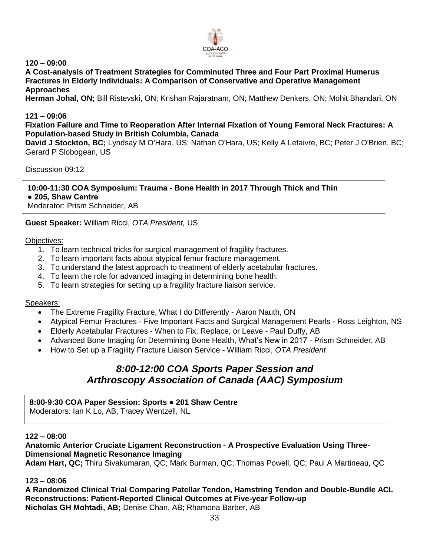

**120 – 09:00**

**A Cost-analysis of Treatment Strategies for Comminuted Three and Four Part Proximal Humerus Fractures in Elderly Individuals: A Comparison of Conservative and Operative Management Approaches**

**Herman Johal, ON;** Bill Ristevski, ON; Krishan Rajaratnam, ON; Matthew Denkers, ON; Mohit Bhandari, ON

## **121 – 09:06**

**Fixation Failure and Time to Reoperation After Internal Fixation of Young Femoral Neck Fractures: A Population-based Study in British Columbia, Canada**

**David J Stockton, BC;** Lyndsay M O'Hara, US; Nathan O'Hara, US; Kelly A Lefaivre, BC; Peter J O'Brien, BC; Gerard P Slobogean, US

Discussion 09:12

**10:00-11:30 COA Symposium: Trauma - Bone Health in 2017 Through Thick and Thin ● 205, Shaw Centre** Moderator: Prism Schneider, AB

## **Guest Speaker:** William Ricci, *OTA President,* US

#### Objectives:

- 1. To learn technical tricks for surgical management of fragility fractures.
- 2. To learn important facts about atypical femur fracture management.
- 3. To understand the latest approach to treatment of elderly acetabular fractures.
- 4. To learn the role for advanced imaging in determining bone health.
- 5. To learn strategies for setting up a fragility fracture liaison service.

#### Speakers:

- The Extreme Fragility Fracture, What I do Differently Aaron Nauth, ON
- Atypical Femur Fractures Five Important Facts and Surgical Management Pearls Ross Leighton, NS
- Elderly Acetabular Fractures When to Fix, Replace, or Leave Paul Duffy, AB
- Advanced Bone Imaging for Determining Bone Health, What's New in 2017 Prism Schneider, AB
- How to Set up a Fragility Fracture Liaison Service William Ricci, *OTA President*

# *8:00-12:00 COA Sports Paper Session and Arthroscopy Association of Canada (AAC) Symposium*

# **8:00-9:30 COA Paper Session: Sports ● 201 Shaw Centre**

Moderators: Ian K Lo, AB; Tracey Wentzell, NL

#### **122 – 08:00**

**Anatomic Anterior Cruciate Ligament Reconstruction - A Prospective Evaluation Using Three-Dimensional Magnetic Resonance Imaging**

**Adam Hart, QC;** Thiru Sivakumaran, QC; Mark Burman, QC; Thomas Powell, QC; Paul A Martineau, QC

#### **123 – 08:06**

**A Randomized Clinical Trial Comparing Patellar Tendon, Hamstring Tendon and Double-Bundle ACL Reconstructions: Patient-Reported Clinical Outcomes at Five-year Follow-up Nicholas GH Mohtadi, AB;** Denise Chan, AB; Rhamona Barber, AB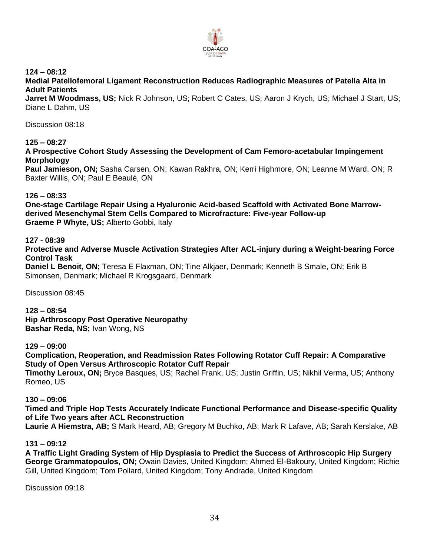

**124 – 08:12**

**Medial Patellofemoral Ligament Reconstruction Reduces Radiographic Measures of Patella Alta in Adult Patients**

**Jarret M Woodmass, US;** Nick R Johnson, US; Robert C Cates, US; Aaron J Krych, US; Michael J Start, US; Diane L Dahm, US

Discussion 08:18

## **125 – 08:27**

**A Prospective Cohort Study Assessing the Development of Cam Femoro-acetabular Impingement Morphology**

**Paul Jamieson, ON;** Sasha Carsen, ON; Kawan Rakhra, ON; Kerri Highmore, ON; Leanne M Ward, ON; R Baxter Willis, ON; Paul E Beaulé, ON

### **126 – 08:33**

**One-stage Cartilage Repair Using a Hyaluronic Acid-based Scaffold with Activated Bone Marrowderived Mesenchymal Stem Cells Compared to Microfracture: Five-year Follow-up Graeme P Whyte, US;** Alberto Gobbi, Italy

### **127 - 08:39**

**Protective and Adverse Muscle Activation Strategies After ACL-injury during a Weight-bearing Force Control Task**

**Daniel L Benoit, ON;** Teresa E Flaxman, ON; Tine Alkjaer, Denmark; Kenneth B Smale, ON; Erik B Simonsen, Denmark; Michael R Krogsgaard, Denmark

Discussion 08:45

**128 – 08:54 Hip Arthroscopy Post Operative Neuropathy Bashar Reda, NS;** Ivan Wong, NS

#### **129 – 09:00**

**Complication, Reoperation, and Readmission Rates Following Rotator Cuff Repair: A Comparative Study of Open Versus Arthroscopic Rotator Cuff Repair Timothy Leroux, ON;** Bryce Basques, US; Rachel Frank, US; Justin Griffin, US; Nikhil Verma, US; Anthony Romeo, US

## **130 – 09:06**

**Timed and Triple Hop Tests Accurately Indicate Functional Performance and Disease-specific Quality of Life Two years after ACL Reconstruction**

**Laurie A Hiemstra, AB;** S Mark Heard, AB; Gregory M Buchko, AB; Mark R Lafave, AB; Sarah Kerslake, AB

## **131 – 09:12**

**A Traffic Light Grading System of Hip Dysplasia to Predict the Success of Arthroscopic Hip Surgery George Grammatopoulos, ON;** Owain Davies, United Kingdom; Ahmed El-Bakoury, United Kingdom; Richie Gill, United Kingdom; Tom Pollard, United Kingdom; Tony Andrade, United Kingdom

Discussion 09:18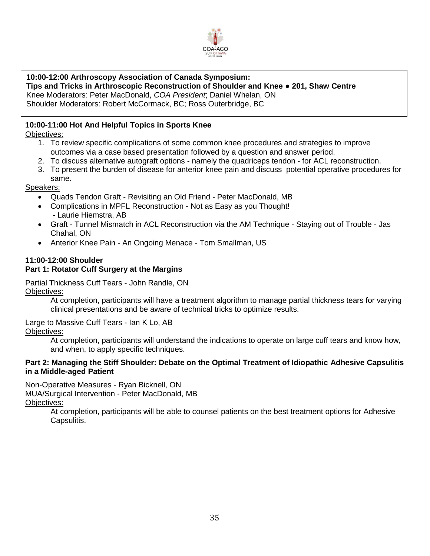

## **10:00-12:00 Arthroscopy Association of Canada Symposium:**

**Tips and Tricks in Arthroscopic Reconstruction of Shoulder and Knee ● 201, Shaw Centre**  Knee Moderators: Peter MacDonald, *COA President*; Daniel Whelan, ON Shoulder Moderators: Robert McCormack, BC; Ross Outerbridge, BC

## **10:00-11:00 Hot And Helpful Topics in Sports Knee**

Objectives:

- 1. To review specific complications of some common knee procedures and strategies to improve outcomes via a case based presentation followed by a question and answer period.
- 2. To discuss alternative autograft options namely the quadriceps tendon for ACL reconstruction.
- 3. To present the burden of disease for anterior knee pain and discuss potential operative procedures for same.

## Speakers:

- Quads Tendon Graft Revisiting an Old Friend Peter MacDonald, MB
- Complications in MPFL Reconstruction Not as Easy as you Thought! - Laurie Hiemstra, AB
- Graft Tunnel Mismatch in ACL Reconstruction via the AM Technique Staying out of Trouble Jas Chahal, ON
- Anterior Knee Pain An Ongoing Menace Tom Smallman, US

# **11:00-12:00 Shoulder**

# **Part 1: Rotator Cuff Surgery at the Margins**

Partial Thickness Cuff Tears - John Randle, ON Objectives:

At completion, participants will have a treatment algorithm to manage partial thickness tears for varying clinical presentations and be aware of technical tricks to optimize results.

Large to Massive Cuff Tears - Ian K Lo, AB Objectives:

> At completion, participants will understand the indications to operate on large cuff tears and know how, and when, to apply specific techniques.

## **Part 2: Managing the Stiff Shoulder: Debate on the Optimal Treatment of Idiopathic Adhesive Capsulitis in a Middle-aged Patient**

Non-Operative Measures - Ryan Bicknell, ON MUA/Surgical Intervention - Peter MacDonald, MB Objectives:

At completion, participants will be able to counsel patients on the best treatment options for Adhesive Capsulitis.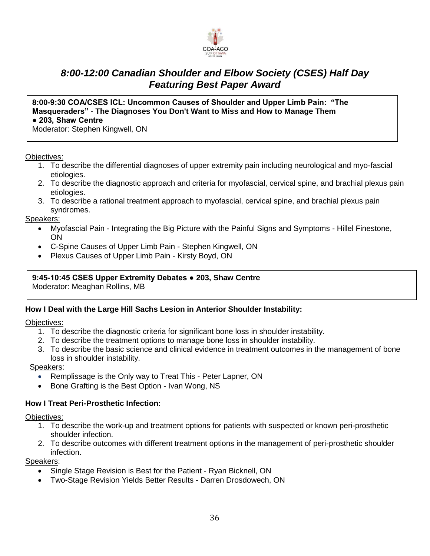

# *8:00-12:00 Canadian Shoulder and Elbow Society (CSES) Half Day Featuring Best Paper Award*

## **8:00-9:30 COA/CSES ICL: Uncommon Causes of Shoulder and Upper Limb Pain: "The Masqueraders" - The Diagnoses You Don't Want to Miss and How to Manage Them ● 203, Shaw Centre**

Moderator: Stephen Kingwell, ON

### Objectives:

- 1. To describe the differential diagnoses of upper extremity pain including neurological and myo-fascial etiologies.
- 2. To describe the diagnostic approach and criteria for myofascial, cervical spine, and brachial plexus pain etiologies.
- 3. To describe a rational treatment approach to myofascial, cervical spine, and brachial plexus pain syndromes.

### Speakers:

- Myofascial Pain Integrating the Big Picture with the Painful Signs and Symptoms Hillel Finestone, ON
- C-Spine Causes of Upper Limb Pain Stephen Kingwell, ON
- Plexus Causes of Upper Limb Pain Kirsty Boyd, ON

## **9:45-10:45 CSES Upper Extremity Debates ● 203, Shaw Centre**

Moderator: Meaghan Rollins, MB

## **How I Deal with the Large Hill Sachs Lesion in Anterior Shoulder Instability:**

## Objectives:

- 1. To describe the diagnostic criteria for significant bone loss in shoulder instability.
- 2. To describe the treatment options to manage bone loss in shoulder instability.
- 3. To describe the basic science and clinical evidence in treatment outcomes in the management of bone loss in shoulder instability.

#### Speakers:

- Remplissage is the Only way to Treat This Peter Lapner, ON
- Bone Grafting is the Best Option Ivan Wong, NS

## **How I Treat Peri-Prosthetic Infection:**

Objectives:

- 1. To describe the work-up and treatment options for patients with suspected or known peri-prosthetic shoulder infection.
- 2. To describe outcomes with different treatment options in the management of peri-prosthetic shoulder infection.

- Single Stage Revision is Best for the Patient Ryan Bicknell, ON
- Two-Stage Revision Yields Better Results Darren Drosdowech, ON